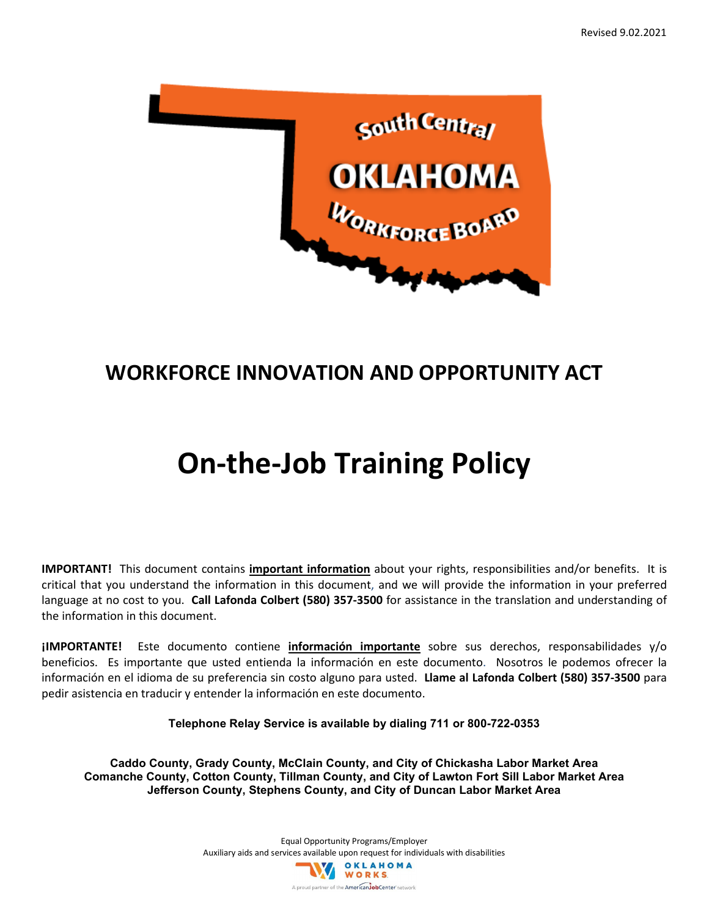

## **WORKFORCE INNOVATION AND OPPORTUNITY ACT**

# **On-the-Job Training Policy**

**IMPORTANT!** This document contains **important information** about your rights, responsibilities and/or benefits. It is critical that you understand the information in this document, and we will provide the information in your preferred language at no cost to you. **Call Lafonda Colbert (580) 357-3500** for assistance in the translation and understanding of the information in this document.

**¡IMPORTANTE!** Este documento contiene **información importante** sobre sus derechos, responsabilidades y/o beneficios. Es importante que usted entienda la información en este documento. Nosotros le podemos ofrecer la información en el idioma de su preferencia sin costo alguno para usted. **Llame al Lafonda Colbert (580) 357-3500** para pedir asistencia en traducir y entender la información en este documento.

**Telephone Relay Service is available by dialing 711 or 800-722-0353**

**Caddo County, Grady County, McClain County, and City of Chickasha Labor Market Area Comanche County, Cotton County, Tillman County, and City of Lawton Fort Sill Labor Market Area Jefferson County, Stephens County, and City of Duncan Labor Market Area**

> Equal Opportunity Programs/Employer Auxiliary aids and services available upon request for individuals with disabilities<br>
> WORKS A proud partner of the American JobCenter network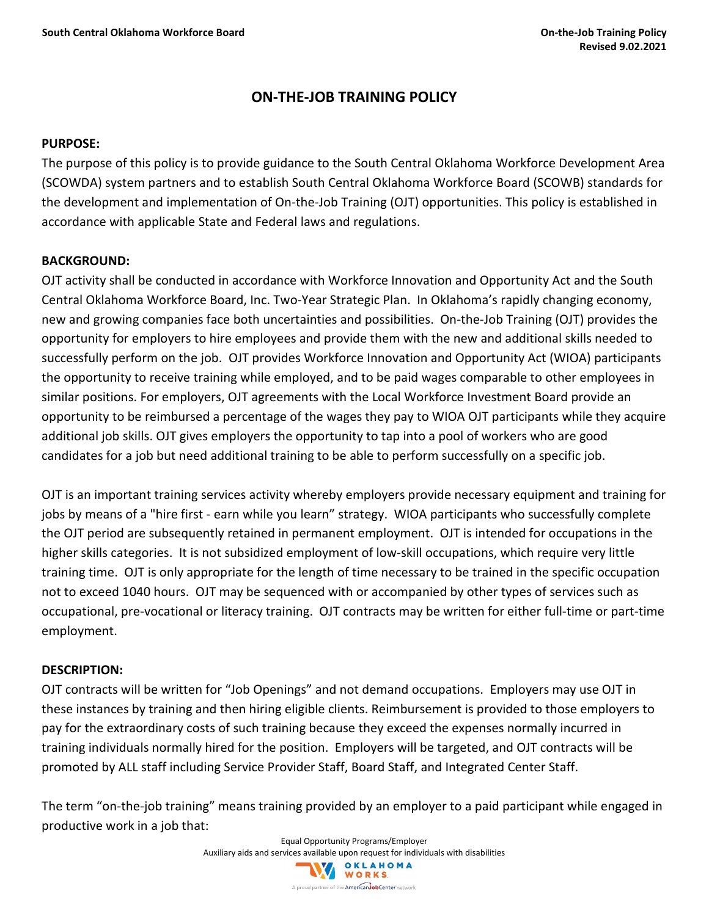#### **ON-THE-JOB TRAINING POLICY**

#### **PURPOSE:**

The purpose of this policy is to provide guidance to the South Central Oklahoma Workforce Development Area (SCOWDA) system partners and to establish South Central Oklahoma Workforce Board (SCOWB) standards for the development and implementation of On-the-Job Training (OJT) opportunities. This policy is established in accordance with applicable State and Federal laws and regulations.

#### **BACKGROUND:**

OJT activity shall be conducted in accordance with Workforce Innovation and Opportunity Act and the South Central Oklahoma Workforce Board, Inc. Two-Year Strategic Plan. In Oklahoma's rapidly changing economy, new and growing companies face both uncertainties and possibilities. On-the-Job Training (OJT) provides the opportunity for employers to hire employees and provide them with the new and additional skills needed to successfully perform on the job. OJT provides Workforce Innovation and Opportunity Act (WIOA) participants the opportunity to receive training while employed, and to be paid wages comparable to other employees in similar positions. For employers, OJT agreements with the Local Workforce Investment Board provide an opportunity to be reimbursed a percentage of the wages they pay to WIOA OJT participants while they acquire additional job skills. OJT gives employers the opportunity to tap into a pool of workers who are good candidates for a job but need additional training to be able to perform successfully on a specific job.

OJT is an important training services activity whereby employers provide necessary equipment and training for jobs by means of a "hire first - earn while you learn" strategy. WIOA participants who successfully complete the OJT period are subsequently retained in permanent employment. OJT is intended for occupations in the higher skills categories. It is not subsidized employment of low-skill occupations, which require very little training time. OJT is only appropriate for the length of time necessary to be trained in the specific occupation not to exceed 1040 hours. OJT may be sequenced with or accompanied by other types of services such as occupational, pre-vocational or literacy training. OJT contracts may be written for either full-time or part-time employment.

#### **DESCRIPTION:**

OJT contracts will be written for "Job Openings" and not demand occupations. Employers may use OJT in these instances by training and then hiring eligible clients. Reimbursement is provided to those employers to pay for the extraordinary costs of such training because they exceed the expenses normally incurred in training individuals normally hired for the position. Employers will be targeted, and OJT contracts will be promoted by ALL staff including Service Provider Staff, Board Staff, and Integrated Center Staff.

The term "on-the-job training" means training provided by an employer to a paid participant while engaged in productive work in a job that:

Equal Opportunity Programs/Employer

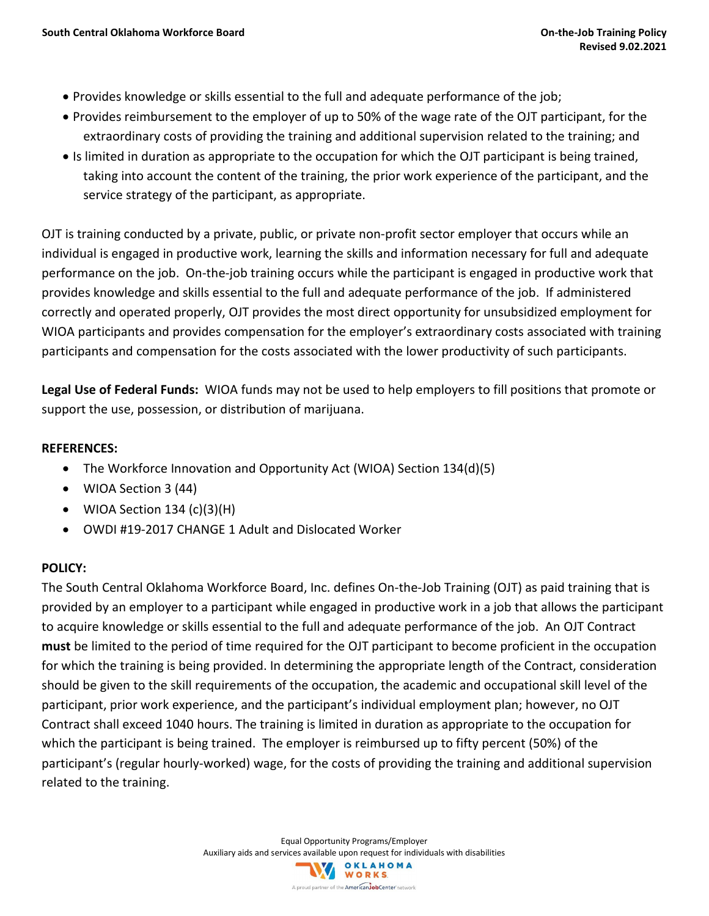- Provides knowledge or skills essential to the full and adequate performance of the job;
- Provides reimbursement to the employer of up to 50% of the wage rate of the OJT participant, for the extraordinary costs of providing the training and additional supervision related to the training; and
- Is limited in duration as appropriate to the occupation for which the OJT participant is being trained, taking into account the content of the training, the prior work experience of the participant, and the service strategy of the participant, as appropriate.

OJT is training conducted by a private, public, or private non-profit sector employer that occurs while an individual is engaged in productive work, learning the skills and information necessary for full and adequate performance on the job. On-the-job training occurs while the participant is engaged in productive work that provides knowledge and skills essential to the full and adequate performance of the job. If administered correctly and operated properly, OJT provides the most direct opportunity for unsubsidized employment for WIOA participants and provides compensation for the employer's extraordinary costs associated with training participants and compensation for the costs associated with the lower productivity of such participants.

**Legal Use of Federal Funds:** WIOA funds may not be used to help employers to fill positions that promote or support the use, possession, or distribution of marijuana.

#### **REFERENCES:**

- The Workforce Innovation and Opportunity Act (WIOA) Section 134(d)(5)
- WIOA Section 3 (44)
- WIOA Section  $134$  (c)(3)(H)
- OWDI #19-2017 CHANGE 1 Adult and Dislocated Worker

#### **POLICY:**

The South Central Oklahoma Workforce Board, Inc. defines On-the-Job Training (OJT) as paid training that is provided by an employer to a participant while engaged in productive work in a job that allows the participant to acquire knowledge or skills essential to the full and adequate performance of the job. An OJT Contract **must** be limited to the period of time required for the OJT participant to become proficient in the occupation for which the training is being provided. In determining the appropriate length of the Contract, consideration should be given to the skill requirements of the occupation, the academic and occupational skill level of the participant, prior work experience, and the participant's individual employment plan; however, no OJT Contract shall exceed 1040 hours. The training is limited in duration as appropriate to the occupation for which the participant is being trained. The employer is reimbursed up to fifty percent (50%) of the participant's (regular hourly-worked) wage, for the costs of providing the training and additional supervision related to the training.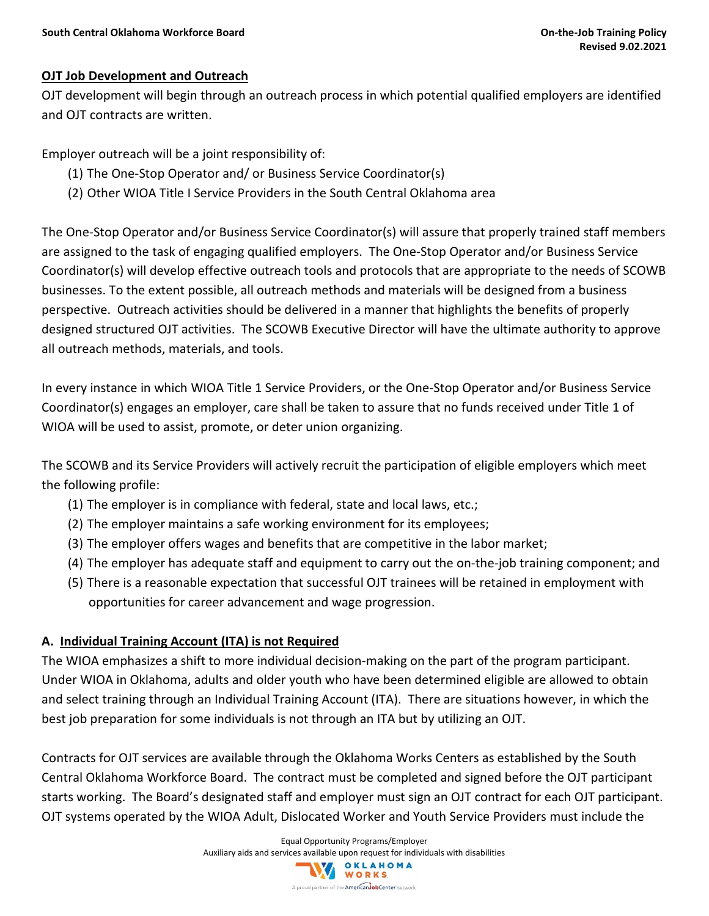#### **OJT Job Development and Outreach**

OJT development will begin through an outreach process in which potential qualified employers are identified and OJT contracts are written.

Employer outreach will be a joint responsibility of:

- (1) The One-Stop Operator and/ or Business Service Coordinator(s)
- (2) Other WIOA Title I Service Providers in the South Central Oklahoma area

The One-Stop Operator and/or Business Service Coordinator(s) will assure that properly trained staff members are assigned to the task of engaging qualified employers. The One-Stop Operator and/or Business Service Coordinator(s) will develop effective outreach tools and protocols that are appropriate to the needs of SCOWB businesses. To the extent possible, all outreach methods and materials will be designed from a business perspective. Outreach activities should be delivered in a manner that highlights the benefits of properly designed structured OJT activities. The SCOWB Executive Director will have the ultimate authority to approve all outreach methods, materials, and tools.

In every instance in which WIOA Title 1 Service Providers, or the One-Stop Operator and/or Business Service Coordinator(s) engages an employer, care shall be taken to assure that no funds received under Title 1 of WIOA will be used to assist, promote, or deter union organizing.

The SCOWB and its Service Providers will actively recruit the participation of eligible employers which meet the following profile:

- (1) The employer is in compliance with federal, state and local laws, etc.;
- (2) The employer maintains a safe working environment for its employees;
- (3) The employer offers wages and benefits that are competitive in the labor market;
- (4) The employer has adequate staff and equipment to carry out the on-the-job training component; and
- (5) There is a reasonable expectation that successful OJT trainees will be retained in employment with opportunities for career advancement and wage progression.

#### **A. Individual Training Account (ITA) is not Required**

The WIOA emphasizes a shift to more individual decision-making on the part of the program participant. Under WIOA in Oklahoma, adults and older youth who have been determined eligible are allowed to obtain and select training through an Individual Training Account (ITA). There are situations however, in which the best job preparation for some individuals is not through an ITA but by utilizing an OJT.

Contracts for OJT services are available through the Oklahoma Works Centers as established by the South Central Oklahoma Workforce Board. The contract must be completed and signed before the OJT participant starts working. The Board's designated staff and employer must sign an OJT contract for each OJT participant. OJT systems operated by the WIOA Adult, Dislocated Worker and Youth Service Providers must include the

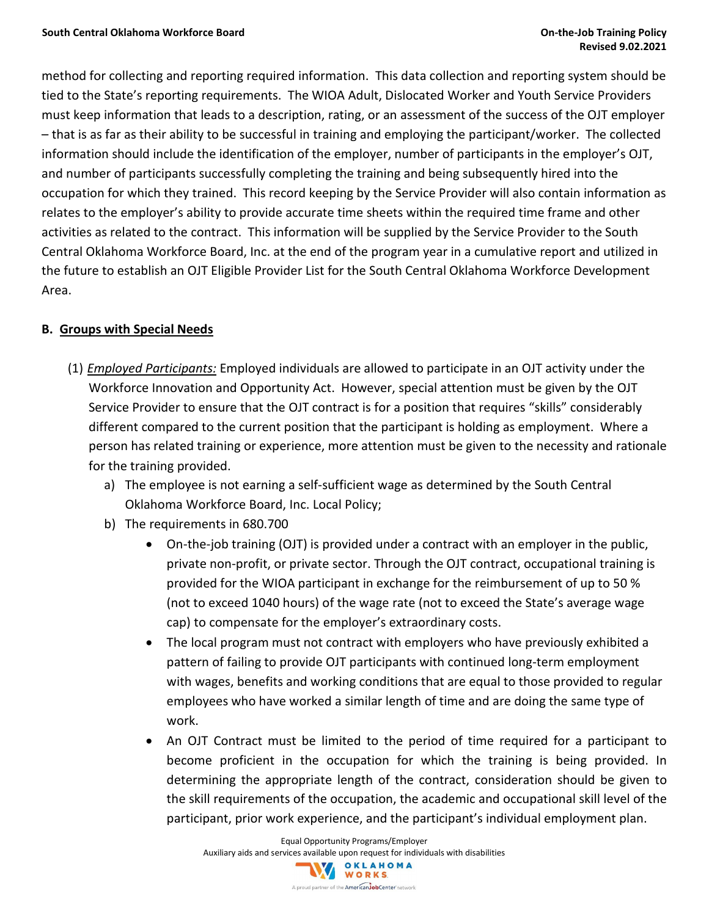method for collecting and reporting required information. This data collection and reporting system should be tied to the State's reporting requirements. The WIOA Adult, Dislocated Worker and Youth Service Providers must keep information that leads to a description, rating, or an assessment of the success of the OJT employer – that is as far as their ability to be successful in training and employing the participant/worker. The collected information should include the identification of the employer, number of participants in the employer's OJT, and number of participants successfully completing the training and being subsequently hired into the occupation for which they trained. This record keeping by the Service Provider will also contain information as relates to the employer's ability to provide accurate time sheets within the required time frame and other activities as related to the contract. This information will be supplied by the Service Provider to the South Central Oklahoma Workforce Board, Inc. at the end of the program year in a cumulative report and utilized in the future to establish an OJT Eligible Provider List for the South Central Oklahoma Workforce Development Area.

#### **B. Groups with Special Needs**

- (1) *Employed Participants:* Employed individuals are allowed to participate in an OJT activity under the Workforce Innovation and Opportunity Act. However, special attention must be given by the OJT Service Provider to ensure that the OJT contract is for a position that requires "skills" considerably different compared to the current position that the participant is holding as employment. Where a person has related training or experience, more attention must be given to the necessity and rationale for the training provided.
	- a) The employee is not earning a self-sufficient wage as determined by the South Central Oklahoma Workforce Board, Inc. Local Policy;
	- b) The requirements in 680.700
		- On-the-job training (OJT) is provided under a contract with an employer in the public, private non-profit, or private sector. Through the OJT contract, occupational training is provided for the WIOA participant in exchange for the reimbursement of up to 50 % (not to exceed 1040 hours) of the wage rate (not to exceed the State's average wage cap) to compensate for the employer's extraordinary costs.
		- The local program must not contract with employers who have previously exhibited a pattern of failing to provide OJT participants with continued long-term employment with wages, benefits and working conditions that are equal to those provided to regular employees who have worked a similar length of time and are doing the same type of work.
		- An OJT Contract must be limited to the period of time required for a participant to become proficient in the occupation for which the training is being provided. In determining the appropriate length of the contract, consideration should be given to the skill requirements of the occupation, the academic and occupational skill level of the participant, prior work experience, and the participant's individual employment plan.

Equal Opportunity Programs/Employer Auxiliary aids and services available upon request for individuals with disabilities<br>
WORKS A proud partner of the American JobCenter network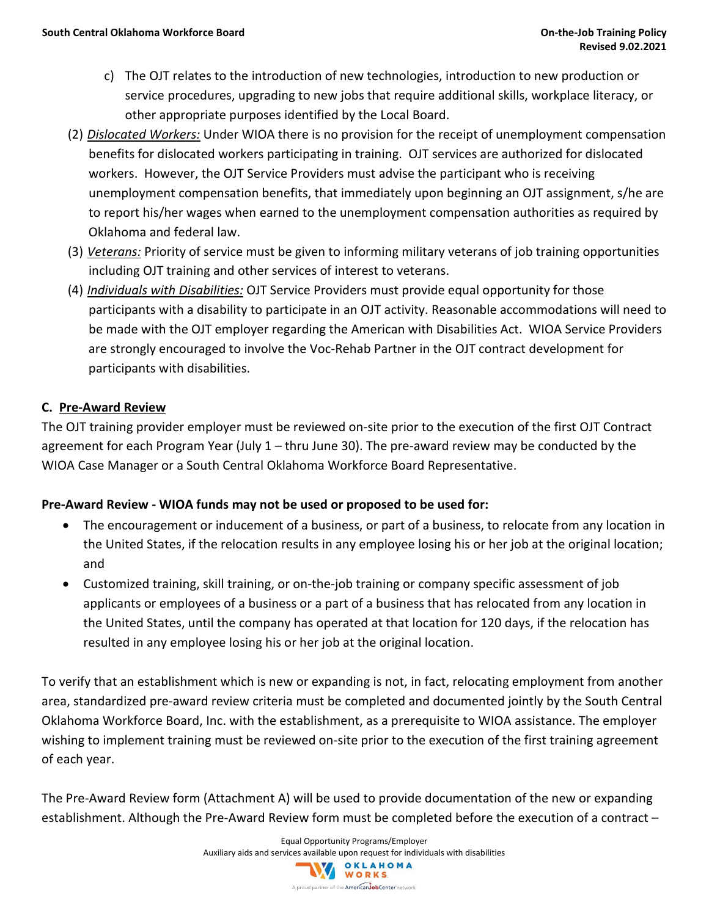- c) The OJT relates to the introduction of new technologies, introduction to new production or service procedures, upgrading to new jobs that require additional skills, workplace literacy, or other appropriate purposes identified by the Local Board.
- (2) *Dislocated Workers:* Under WIOA there is no provision for the receipt of unemployment compensation benefits for dislocated workers participating in training. OJT services are authorized for dislocated workers. However, the OJT Service Providers must advise the participant who is receiving unemployment compensation benefits, that immediately upon beginning an OJT assignment, s/he are to report his/her wages when earned to the unemployment compensation authorities as required by Oklahoma and federal law.
- (3) *Veterans:* Priority of service must be given to informing military veterans of job training opportunities including OJT training and other services of interest to veterans.
- (4) *Individuals with Disabilities:* OJT Service Providers must provide equal opportunity for those participants with a disability to participate in an OJT activity. Reasonable accommodations will need to be made with the OJT employer regarding the American with Disabilities Act. WIOA Service Providers are strongly encouraged to involve the Voc-Rehab Partner in the OJT contract development for participants with disabilities.

#### **C. Pre-Award Review**

The OJT training provider employer must be reviewed on-site prior to the execution of the first OJT Contract agreement for each Program Year (July 1 – thru June 30). The pre-award review may be conducted by the WIOA Case Manager or a South Central Oklahoma Workforce Board Representative.

#### **Pre-Award Review - WIOA funds may not be used or proposed to be used for:**

- The encouragement or inducement of a business, or part of a business, to relocate from any location in the United States, if the relocation results in any employee losing his or her job at the original location; and
- Customized training, skill training, or on-the-job training or company specific assessment of job applicants or employees of a business or a part of a business that has relocated from any location in the United States, until the company has operated at that location for 120 days, if the relocation has resulted in any employee losing his or her job at the original location.

To verify that an establishment which is new or expanding is not, in fact, relocating employment from another area, standardized pre-award review criteria must be completed and documented jointly by the South Central Oklahoma Workforce Board, Inc. with the establishment, as a prerequisite to WIOA assistance. The employer wishing to implement training must be reviewed on-site prior to the execution of the first training agreement of each year.

The Pre-Award Review form (Attachment A) will be used to provide documentation of the new or expanding establishment. Although the Pre-Award Review form must be completed before the execution of a contract –

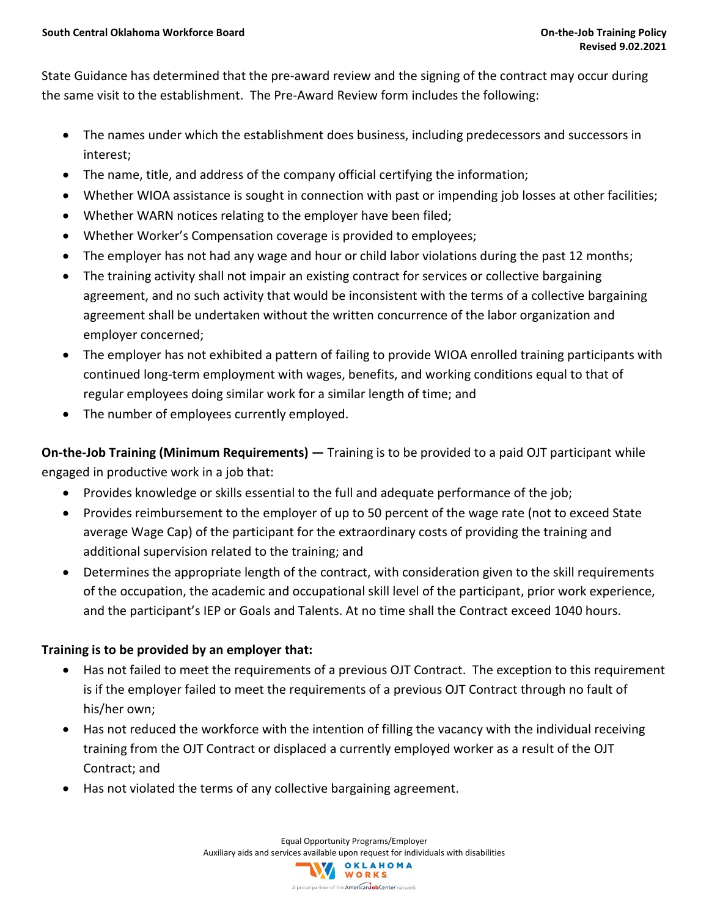State Guidance has determined that the pre-award review and the signing of the contract may occur during the same visit to the establishment. The Pre-Award Review form includes the following:

- The names under which the establishment does business, including predecessors and successors in interest;
- The name, title, and address of the company official certifying the information;
- Whether WIOA assistance is sought in connection with past or impending job losses at other facilities;
- Whether WARN notices relating to the employer have been filed;
- Whether Worker's Compensation coverage is provided to employees;
- The employer has not had any wage and hour or child labor violations during the past 12 months;
- The training activity shall not impair an existing contract for services or collective bargaining agreement, and no such activity that would be inconsistent with the terms of a collective bargaining agreement shall be undertaken without the written concurrence of the labor organization and employer concerned;
- The employer has not exhibited a pattern of failing to provide WIOA enrolled training participants with continued long-term employment with wages, benefits, and working conditions equal to that of regular employees doing similar work for a similar length of time; and
- The number of employees currently employed.

**On-the-Job Training (Minimum Requirements) —** Training is to be provided to a paid OJT participant while engaged in productive work in a job that:

- Provides knowledge or skills essential to the full and adequate performance of the job;
- Provides reimbursement to the employer of up to 50 percent of the wage rate (not to exceed State average Wage Cap) of the participant for the extraordinary costs of providing the training and additional supervision related to the training; and
- Determines the appropriate length of the contract, with consideration given to the skill requirements of the occupation, the academic and occupational skill level of the participant, prior work experience, and the participant's IEP or Goals and Talents. At no time shall the Contract exceed 1040 hours.

#### **Training is to be provided by an employer that:**

- Has not failed to meet the requirements of a previous OJT Contract. The exception to this requirement is if the employer failed to meet the requirements of a previous OJT Contract through no fault of his/her own;
- Has not reduced the workforce with the intention of filling the vacancy with the individual receiving training from the OJT Contract or displaced a currently employed worker as a result of the OJT Contract; and
- Has not violated the terms of any collective bargaining agreement.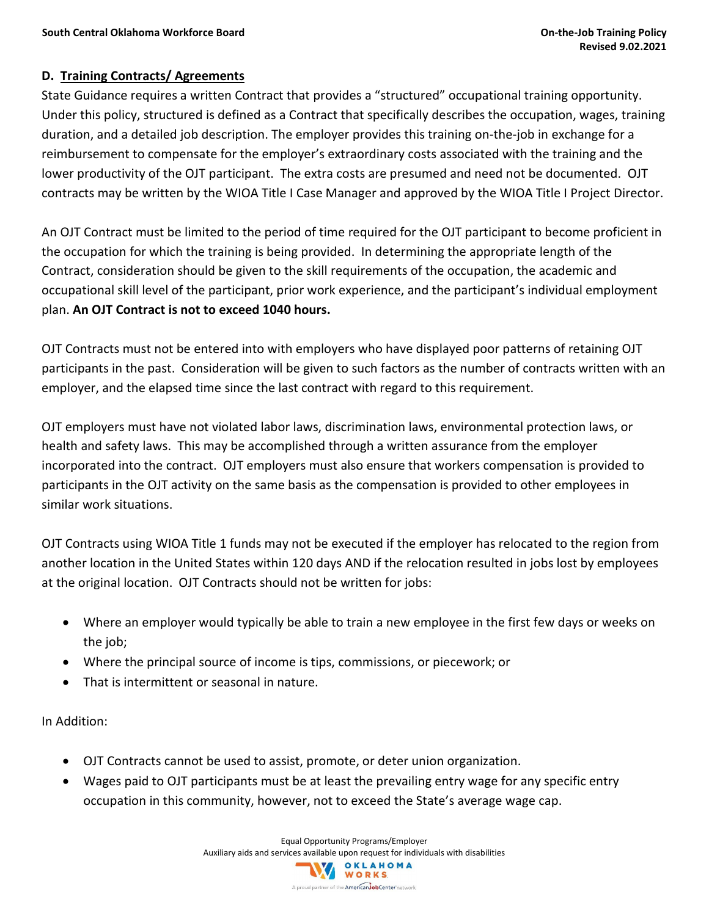#### **D. Training Contracts/ Agreements**

State Guidance requires a written Contract that provides a "structured" occupational training opportunity. Under this policy, structured is defined as a Contract that specifically describes the occupation, wages, training duration, and a detailed job description. The employer provides this training on-the-job in exchange for a reimbursement to compensate for the employer's extraordinary costs associated with the training and the lower productivity of the OJT participant. The extra costs are presumed and need not be documented. OJT contracts may be written by the WIOA Title I Case Manager and approved by the WIOA Title I Project Director.

An OJT Contract must be limited to the period of time required for the OJT participant to become proficient in the occupation for which the training is being provided. In determining the appropriate length of the Contract, consideration should be given to the skill requirements of the occupation, the academic and occupational skill level of the participant, prior work experience, and the participant's individual employment plan. **An OJT Contract is not to exceed 1040 hours.** 

OJT Contracts must not be entered into with employers who have displayed poor patterns of retaining OJT participants in the past. Consideration will be given to such factors as the number of contracts written with an employer, and the elapsed time since the last contract with regard to this requirement.

OJT employers must have not violated labor laws, discrimination laws, environmental protection laws, or health and safety laws. This may be accomplished through a written assurance from the employer incorporated into the contract. OJT employers must also ensure that workers compensation is provided to participants in the OJT activity on the same basis as the compensation is provided to other employees in similar work situations.

OJT Contracts using WIOA Title 1 funds may not be executed if the employer has relocated to the region from another location in the United States within 120 days AND if the relocation resulted in jobs lost by employees at the original location. OJT Contracts should not be written for jobs:

- Where an employer would typically be able to train a new employee in the first few days or weeks on the job;
- Where the principal source of income is tips, commissions, or piecework; or
- That is intermittent or seasonal in nature.

In Addition:

- OJT Contracts cannot be used to assist, promote, or deter union organization.
- Wages paid to OJT participants must be at least the prevailing entry wage for any specific entry occupation in this community, however, not to exceed the State's average wage cap.

Equal Opportunity Programs/Employer Auxiliary aids and services available upon request for individuals with disabilities<br>
WORKS A proud partner of the American JobCenter network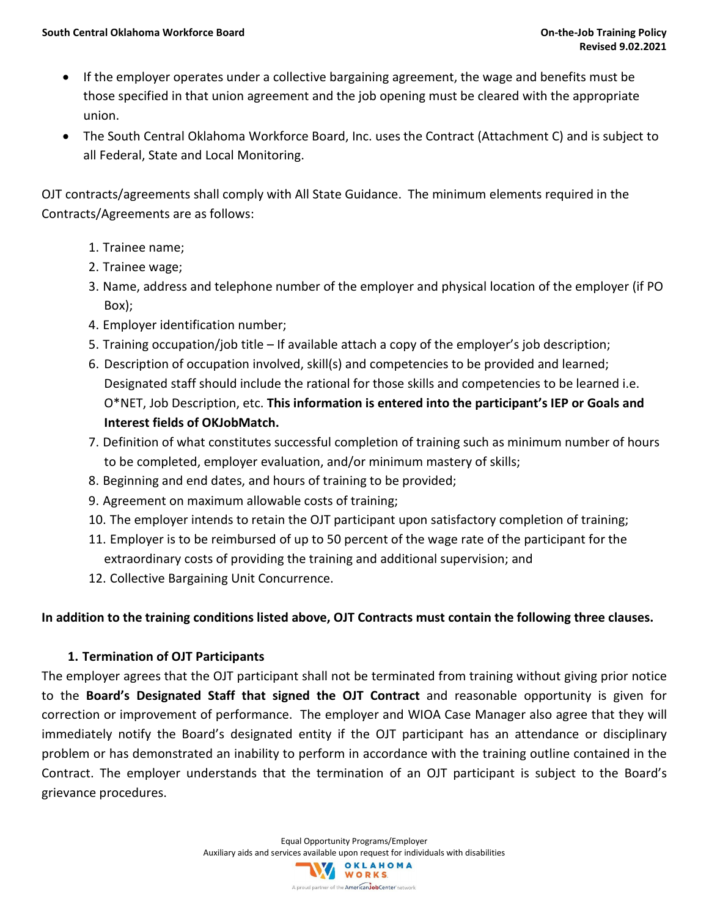- If the employer operates under a collective bargaining agreement, the wage and benefits must be those specified in that union agreement and the job opening must be cleared with the appropriate union.
- The South Central Oklahoma Workforce Board, Inc. uses the Contract (Attachment C) and is subject to all Federal, State and Local Monitoring.

OJT contracts/agreements shall comply with All State Guidance. The minimum elements required in the Contracts/Agreements are as follows:

- 1. Trainee name;
- 2. Trainee wage;
- 3. Name, address and telephone number of the employer and physical location of the employer (if PO Box);
- 4. Employer identification number;
- 5. Training occupation/job title If available attach a copy of the employer's job description;
- 6. Description of occupation involved, skill(s) and competencies to be provided and learned; Designated staff should include the rational for those skills and competencies to be learned i.e. O\*NET, Job Description, etc. **This information is entered into the participant's IEP or Goals and Interest fields of OKJobMatch.**
- 7. Definition of what constitutes successful completion of training such as minimum number of hours to be completed, employer evaluation, and/or minimum mastery of skills;
- 8. Beginning and end dates, and hours of training to be provided;
- 9. Agreement on maximum allowable costs of training;
- 10. The employer intends to retain the OJT participant upon satisfactory completion of training;
- 11. Employer is to be reimbursed of up to 50 percent of the wage rate of the participant for the extraordinary costs of providing the training and additional supervision; and
- 12. Collective Bargaining Unit Concurrence.

#### **In addition to the training conditions listed above, OJT Contracts must contain the following three clauses.**

#### **1. Termination of OJT Participants**

The employer agrees that the OJT participant shall not be terminated from training without giving prior notice to the **Board's Designated Staff that signed the OJT Contract** and reasonable opportunity is given for correction or improvement of performance. The employer and WIOA Case Manager also agree that they will immediately notify the Board's designated entity if the OJT participant has an attendance or disciplinary problem or has demonstrated an inability to perform in accordance with the training outline contained in the Contract. The employer understands that the termination of an OJT participant is subject to the Board's grievance procedures.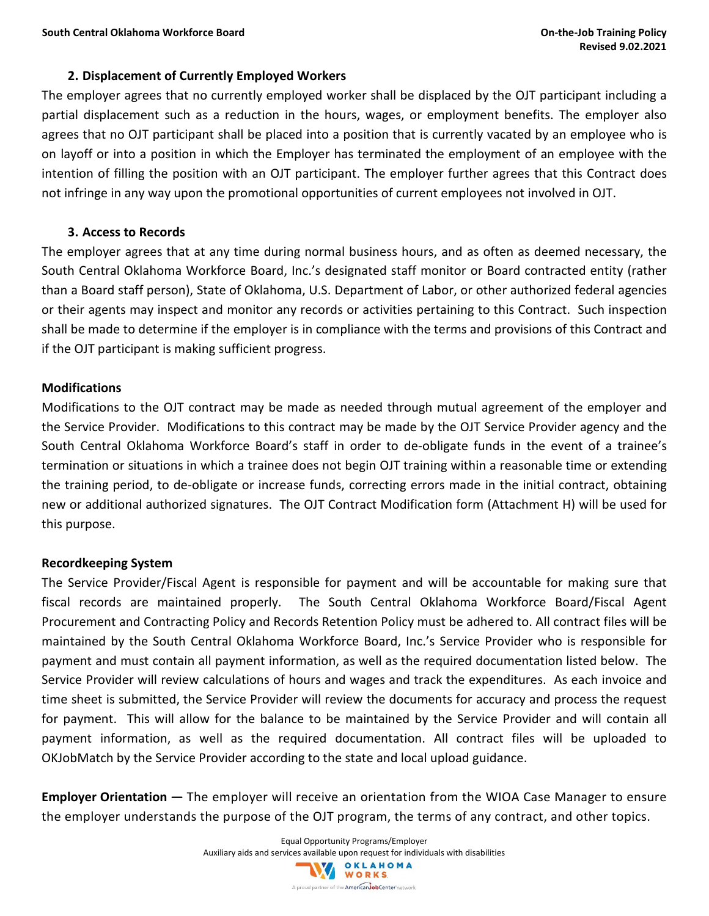#### **2. Displacement of Currently Employed Workers**

The employer agrees that no currently employed worker shall be displaced by the OJT participant including a partial displacement such as a reduction in the hours, wages, or employment benefits. The employer also agrees that no OJT participant shall be placed into a position that is currently vacated by an employee who is on layoff or into a position in which the Employer has terminated the employment of an employee with the intention of filling the position with an OJT participant. The employer further agrees that this Contract does not infringe in any way upon the promotional opportunities of current employees not involved in OJT.

#### **3. Access to Records**

The employer agrees that at any time during normal business hours, and as often as deemed necessary, the South Central Oklahoma Workforce Board, Inc.'s designated staff monitor or Board contracted entity (rather than a Board staff person), State of Oklahoma, U.S. Department of Labor, or other authorized federal agencies or their agents may inspect and monitor any records or activities pertaining to this Contract. Such inspection shall be made to determine if the employer is in compliance with the terms and provisions of this Contract and if the OJT participant is making sufficient progress.

#### **Modifications**

Modifications to the OJT contract may be made as needed through mutual agreement of the employer and the Service Provider. Modifications to this contract may be made by the OJT Service Provider agency and the South Central Oklahoma Workforce Board's staff in order to de-obligate funds in the event of a trainee's termination or situations in which a trainee does not begin OJT training within a reasonable time or extending the training period, to de-obligate or increase funds, correcting errors made in the initial contract, obtaining new or additional authorized signatures. The OJT Contract Modification form (Attachment H) will be used for this purpose.

#### **Recordkeeping System**

The Service Provider/Fiscal Agent is responsible for payment and will be accountable for making sure that fiscal records are maintained properly. The South Central Oklahoma Workforce Board/Fiscal Agent Procurement and Contracting Policy and Records Retention Policy must be adhered to. All contract files will be maintained by the South Central Oklahoma Workforce Board, Inc.'s Service Provider who is responsible for payment and must contain all payment information, as well as the required documentation listed below. The Service Provider will review calculations of hours and wages and track the expenditures. As each invoice and time sheet is submitted, the Service Provider will review the documents for accuracy and process the request for payment. This will allow for the balance to be maintained by the Service Provider and will contain all payment information, as well as the required documentation. All contract files will be uploaded to OKJobMatch by the Service Provider according to the state and local upload guidance.

**Employer Orientation —** The employer will receive an orientation from the WIOA Case Manager to ensure the employer understands the purpose of the OJT program, the terms of any contract, and other topics.

> Equal Opportunity Programs/Employer Auxiliary aids and services available upon request for individuals with disabilities<br>
> WORKS A proud partner of the American JobCenter network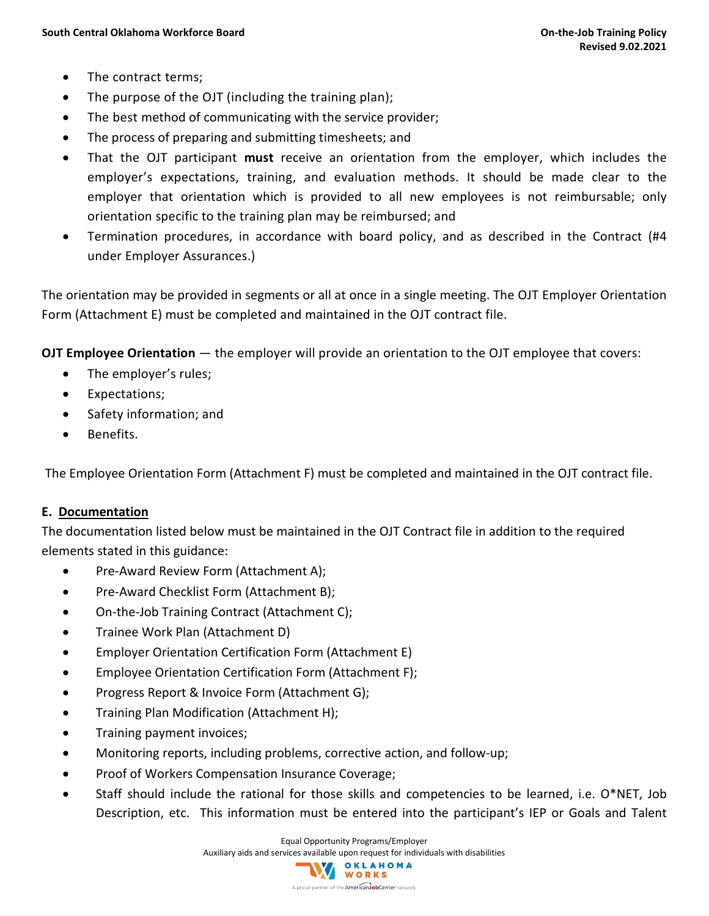- The contract terms;
- The purpose of the OJT (including the training plan);
- The best method of communicating with the service provider;
- The process of preparing and submitting timesheets; and
- That the OJT participant **must** receive an orientation from the employer, which includes the employer's expectations, training, and evaluation methods. It should be made clear to the employer that orientation which is provided to all new employees is not reimbursable; only orientation specific to the training plan may be reimbursed; and
- Termination procedures, in accordance with board policy, and as described in the Contract (#4 under Employer Assurances.)

The orientation may be provided in segments or all at once in a single meeting. The OJT Employer Orientation Form (Attachment E) must be completed and maintained in the OJT contract file.

**OJT Employee Orientation** — the employer will provide an orientation to the OJT employee that covers:

- The employer's rules;
- Expectations;
- Safety information; and
- Benefits.

The Employee Orientation Form (Attachment F) must be completed and maintained in the OJT contract file.

#### **E. Documentation**

The documentation listed below must be maintained in the OJT Contract file in addition to the required elements stated in this guidance:

- Pre-Award Review Form (Attachment A);
- Pre-Award Checklist Form (Attachment B);
- On-the-Job Training Contract (Attachment C);
- Trainee Work Plan (Attachment D)
- Employer Orientation Certification Form (Attachment E)
- Employee Orientation Certification Form (Attachment F);
- Progress Report & Invoice Form (Attachment G);
- Training Plan Modification (Attachment H);
- Training payment invoices;
- Monitoring reports, including problems, corrective action, and follow-up;
- Proof of Workers Compensation Insurance Coverage;
- Staff should include the rational for those skills and competencies to be learned, i.e. O\*NET, Job Description, etc. This information must be entered into the participant's IEP or Goals and Talent

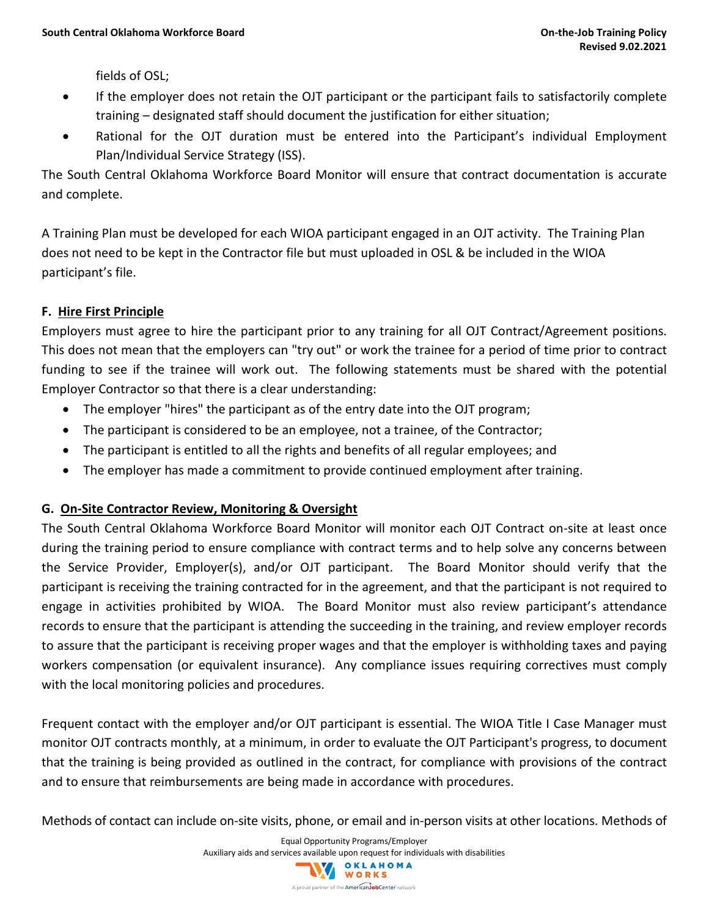fields of OSL;

- If the employer does not retain the OJT participant or the participant fails to satisfactorily complete training – designated staff should document the justification for either situation;
- Rational for the OJT duration must be entered into the Participant's individual Employment Plan/Individual Service Strategy (ISS).

The South Central Oklahoma Workforce Board Monitor will ensure that contract documentation is accurate and complete.

A Training Plan must be developed for each WIOA participant engaged in an OJT activity. The Training Plan does not need to be kept in the Contractor file but must uploaded in OSL & be included in the WIOA participant's file.

#### **F. Hire First Principle**

Employers must agree to hire the participant prior to any training for all OJT Contract/Agreement positions. This does not mean that the employers can "try out" or work the trainee for a period of time prior to contract funding to see if the trainee will work out. The following statements must be shared with the potential Employer Contractor so that there is a clear understanding:

- The employer "hires" the participant as of the entry date into the OJT program;
- The participant is considered to be an employee, not a trainee, of the Contractor;
- The participant is entitled to all the rights and benefits of all regular employees; and
- The employer has made a commitment to provide continued employment after training.

#### **G. On-Site Contractor Review, Monitoring & Oversight**

The South Central Oklahoma Workforce Board Monitor will monitor each OJT Contract on-site at least once during the training period to ensure compliance with contract terms and to help solve any concerns between the Service Provider, Employer(s), and/or OJT participant. The Board Monitor should verify that the participant is receiving the training contracted for in the agreement, and that the participant is not required to engage in activities prohibited by WIOA. The Board Monitor must also review participant's attendance records to ensure that the participant is attending the succeeding in the training, and review employer records to assure that the participant is receiving proper wages and that the employer is withholding taxes and paying workers compensation (or equivalent insurance). Any compliance issues requiring correctives must comply with the local monitoring policies and procedures.

Frequent contact with the employer and/or OJT participant is essential. The WIOA Title I Case Manager must monitor OJT contracts monthly, at a minimum, in order to evaluate the OJT Participant's progress, to document that the training is being provided as outlined in the contract, for compliance with provisions of the contract and to ensure that reimbursements are being made in accordance with procedures.

Methods of contact can include on-site visits, phone, or email and in-person visits at other locations. Methods of

Equal Opportunity Programs/Employer Auxiliary aids and services available upon request for individuals with disabilities<br>
WORKS A proud partner of the American JobCenter network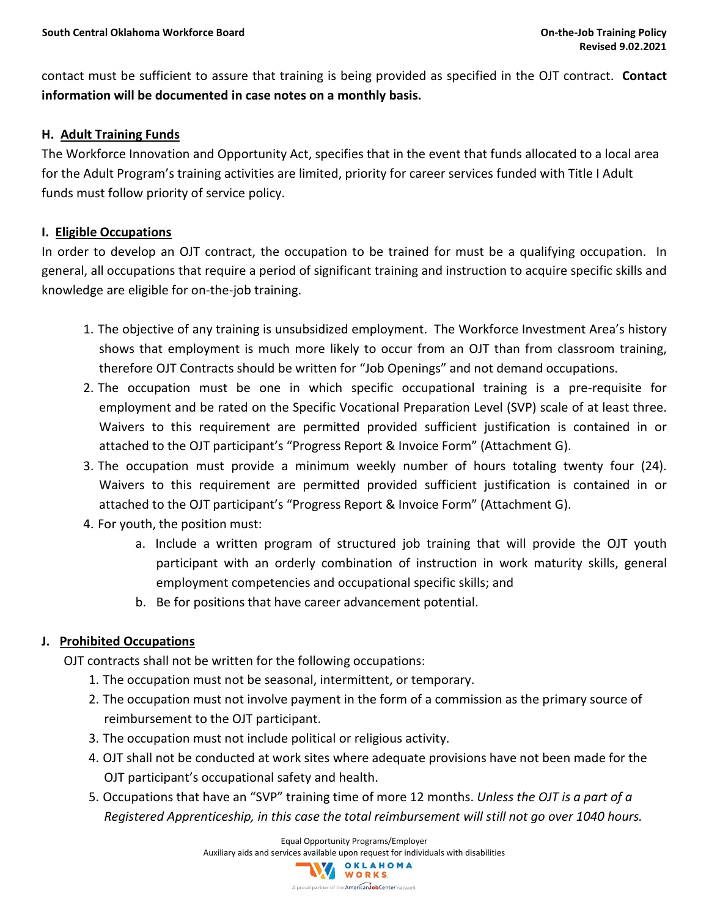contact must be sufficient to assure that training is being provided as specified in the OJT contract. **Contact information will be documented in case notes on a monthly basis.** 

#### **H. Adult Training Funds**

The Workforce Innovation and Opportunity Act, specifies that in the event that funds allocated to a local area for the Adult Program's training activities are limited, priority for career services funded with Title I Adult funds must follow priority of service policy.

#### **I. Eligible Occupations**

In order to develop an OJT contract, the occupation to be trained for must be a qualifying occupation. In general, all occupations that require a period of significant training and instruction to acquire specific skills and knowledge are eligible for on-the-job training.

- 1. The objective of any training is unsubsidized employment. The Workforce Investment Area's history shows that employment is much more likely to occur from an OJT than from classroom training, therefore OJT Contracts should be written for "Job Openings" and not demand occupations.
- 2. The occupation must be one in which specific occupational training is a pre-requisite for employment and be rated on the Specific Vocational Preparation Level (SVP) scale of at least three. Waivers to this requirement are permitted provided sufficient justification is contained in or attached to the OJT participant's "Progress Report & Invoice Form" (Attachment G).
- 3. The occupation must provide a minimum weekly number of hours totaling twenty four (24). Waivers to this requirement are permitted provided sufficient justification is contained in or attached to the OJT participant's "Progress Report & Invoice Form" (Attachment G).
- 4. For youth, the position must:
	- a. Include a written program of structured job training that will provide the OJT youth participant with an orderly combination of instruction in work maturity skills, general employment competencies and occupational specific skills; and
	- b. Be for positions that have career advancement potential.

#### **J. Prohibited Occupations**

OJT contracts shall not be written for the following occupations:

- 1. The occupation must not be seasonal, intermittent, or temporary.
- 2. The occupation must not involve payment in the form of a commission as the primary source of reimbursement to the OJT participant.
- 3. The occupation must not include political or religious activity.
- 4. OJT shall not be conducted at work sites where adequate provisions have not been made for the OJT participant's occupational safety and health.
- 5. Occupations that have an "SVP" training time of more 12 months. *Unless the OJT is a part of a Registered Apprenticeship, in this case the total reimbursement will still not go over 1040 hours.*

Equal Opportunity Programs/Employer

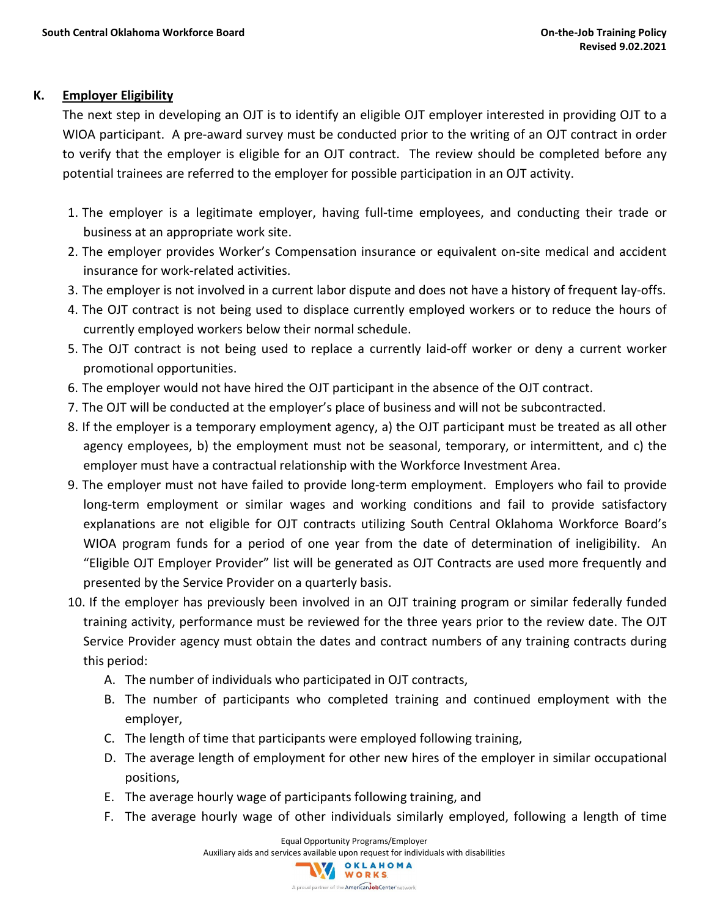#### **K. Employer Eligibility**

The next step in developing an OJT is to identify an eligible OJT employer interested in providing OJT to a WIOA participant. A pre-award survey must be conducted prior to the writing of an OJT contract in order to verify that the employer is eligible for an OJT contract. The review should be completed before any potential trainees are referred to the employer for possible participation in an OJT activity.

- 1. The employer is a legitimate employer, having full-time employees, and conducting their trade or business at an appropriate work site.
- 2. The employer provides Worker's Compensation insurance or equivalent on-site medical and accident insurance for work-related activities.
- 3. The employer is not involved in a current labor dispute and does not have a history of frequent lay-offs.
- 4. The OJT contract is not being used to displace currently employed workers or to reduce the hours of currently employed workers below their normal schedule.
- 5. The OJT contract is not being used to replace a currently laid-off worker or deny a current worker promotional opportunities.
- 6. The employer would not have hired the OJT participant in the absence of the OJT contract.
- 7. The OJT will be conducted at the employer's place of business and will not be subcontracted.
- 8. If the employer is a temporary employment agency, a) the OJT participant must be treated as all other agency employees, b) the employment must not be seasonal, temporary, or intermittent, and c) the employer must have a contractual relationship with the Workforce Investment Area.
- 9. The employer must not have failed to provide long-term employment. Employers who fail to provide long-term employment or similar wages and working conditions and fail to provide satisfactory explanations are not eligible for OJT contracts utilizing South Central Oklahoma Workforce Board's WIOA program funds for a period of one year from the date of determination of ineligibility. An "Eligible OJT Employer Provider" list will be generated as OJT Contracts are used more frequently and presented by the Service Provider on a quarterly basis.
- 10. If the employer has previously been involved in an OJT training program or similar federally funded training activity, performance must be reviewed for the three years prior to the review date. The OJT Service Provider agency must obtain the dates and contract numbers of any training contracts during this period:
	- A. The number of individuals who participated in OJT contracts,
	- B. The number of participants who completed training and continued employment with the employer,
	- C. The length of time that participants were employed following training,
	- D. The average length of employment for other new hires of the employer in similar occupational positions,
	- E. The average hourly wage of participants following training, and
	- F. The average hourly wage of other individuals similarly employed, following a length of time

Equal Opportunity Programs/Employer Auxiliary aids and services available upon request for individuals with disabilities<br>
WORKS A proud partner of the **American Job Center** network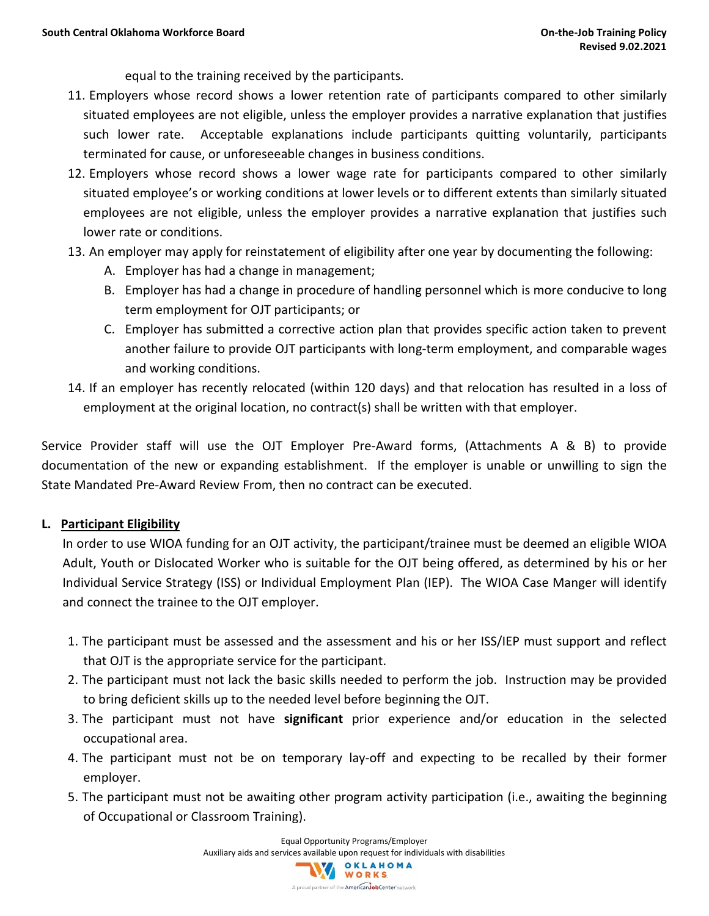equal to the training received by the participants.

- 11. Employers whose record shows a lower retention rate of participants compared to other similarly situated employees are not eligible, unless the employer provides a narrative explanation that justifies such lower rate. Acceptable explanations include participants quitting voluntarily, participants terminated for cause, or unforeseeable changes in business conditions.
- 12. Employers whose record shows a lower wage rate for participants compared to other similarly situated employee's or working conditions at lower levels or to different extents than similarly situated employees are not eligible, unless the employer provides a narrative explanation that justifies such lower rate or conditions.
- 13. An employer may apply for reinstatement of eligibility after one year by documenting the following:
	- A. Employer has had a change in management;
	- B. Employer has had a change in procedure of handling personnel which is more conducive to long term employment for OJT participants; or
	- C. Employer has submitted a corrective action plan that provides specific action taken to prevent another failure to provide OJT participants with long-term employment, and comparable wages and working conditions.
- 14. If an employer has recently relocated (within 120 days) and that relocation has resulted in a loss of employment at the original location, no contract(s) shall be written with that employer.

Service Provider staff will use the OJT Employer Pre-Award forms, (Attachments A & B) to provide documentation of the new or expanding establishment. If the employer is unable or unwilling to sign the State Mandated Pre-Award Review From, then no contract can be executed.

#### **L. Participant Eligibility**

In order to use WIOA funding for an OJT activity, the participant/trainee must be deemed an eligible WIOA Adult, Youth or Dislocated Worker who is suitable for the OJT being offered, as determined by his or her Individual Service Strategy (ISS) or Individual Employment Plan (IEP). The WIOA Case Manger will identify and connect the trainee to the OJT employer.

- 1. The participant must be assessed and the assessment and his or her ISS/IEP must support and reflect that OJT is the appropriate service for the participant.
- 2. The participant must not lack the basic skills needed to perform the job. Instruction may be provided to bring deficient skills up to the needed level before beginning the OJT.
- 3. The participant must not have **significant** prior experience and/or education in the selected occupational area.
- 4. The participant must not be on temporary lay-off and expecting to be recalled by their former employer.
- 5. The participant must not be awaiting other program activity participation (i.e., awaiting the beginning of Occupational or Classroom Training).

Equal Opportunity Programs/Employer Auxiliary aids and services available upon request for individuals with disabilities<br>
WORKS A proud partner of the **American Job Center** network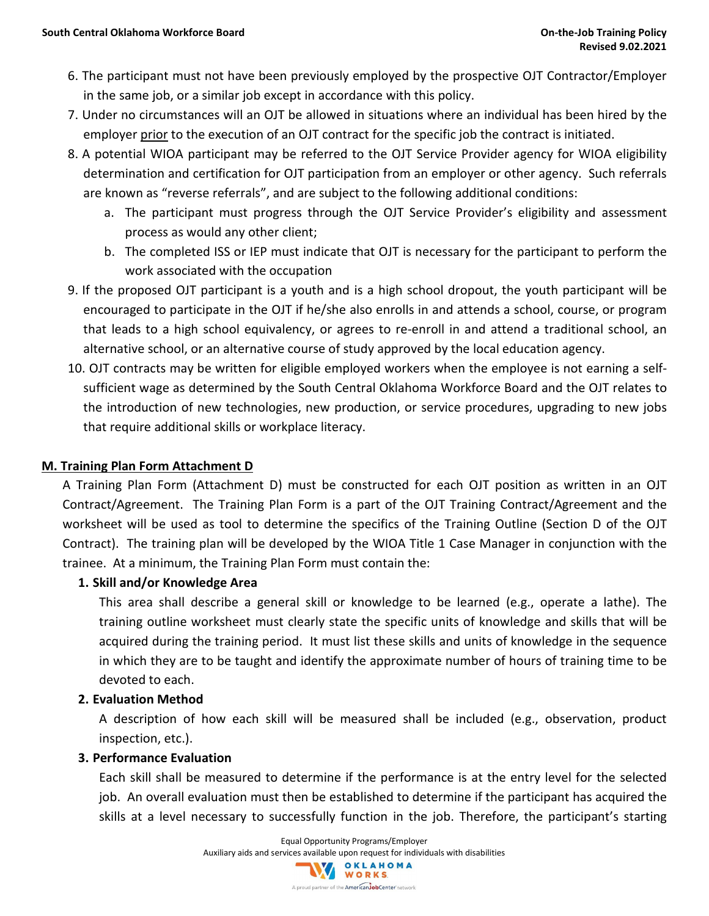- 6. The participant must not have been previously employed by the prospective OJT Contractor/Employer in the same job, or a similar job except in accordance with this policy.
- 7. Under no circumstances will an OJT be allowed in situations where an individual has been hired by the employer prior to the execution of an OJT contract for the specific job the contract is initiated.
- 8. A potential WIOA participant may be referred to the OJT Service Provider agency for WIOA eligibility determination and certification for OJT participation from an employer or other agency. Such referrals are known as "reverse referrals", and are subject to the following additional conditions:
	- a. The participant must progress through the OJT Service Provider's eligibility and assessment process as would any other client;
	- b. The completed ISS or IEP must indicate that OJT is necessary for the participant to perform the work associated with the occupation
- 9. If the proposed OJT participant is a youth and is a high school dropout, the youth participant will be encouraged to participate in the OJT if he/she also enrolls in and attends a school, course, or program that leads to a high school equivalency, or agrees to re-enroll in and attend a traditional school, an alternative school, or an alternative course of study approved by the local education agency.
- 10. OJT contracts may be written for eligible employed workers when the employee is not earning a selfsufficient wage as determined by the South Central Oklahoma Workforce Board and the OJT relates to the introduction of new technologies, new production, or service procedures, upgrading to new jobs that require additional skills or workplace literacy.

#### **M. Training Plan Form Attachment D**

A Training Plan Form (Attachment D) must be constructed for each OJT position as written in an OJT Contract/Agreement. The Training Plan Form is a part of the OJT Training Contract/Agreement and the worksheet will be used as tool to determine the specifics of the Training Outline (Section D of the OJT Contract). The training plan will be developed by the WIOA Title 1 Case Manager in conjunction with the trainee. At a minimum, the Training Plan Form must contain the:

#### **1. Skill and/or Knowledge Area**

This area shall describe a general skill or knowledge to be learned (e.g., operate a lathe). The training outline worksheet must clearly state the specific units of knowledge and skills that will be acquired during the training period. It must list these skills and units of knowledge in the sequence in which they are to be taught and identify the approximate number of hours of training time to be devoted to each.

#### **2. Evaluation Method**

A description of how each skill will be measured shall be included (e.g., observation, product inspection, etc.).

#### **3. Performance Evaluation**

Each skill shall be measured to determine if the performance is at the entry level for the selected job. An overall evaluation must then be established to determine if the participant has acquired the skills at a level necessary to successfully function in the job. Therefore, the participant's starting

> Equal Opportunity Programs/Employer Auxiliary aids and services available upon request for individuals with disabilities<br>
> WORKS

> > A proud partner of the American JobCenter network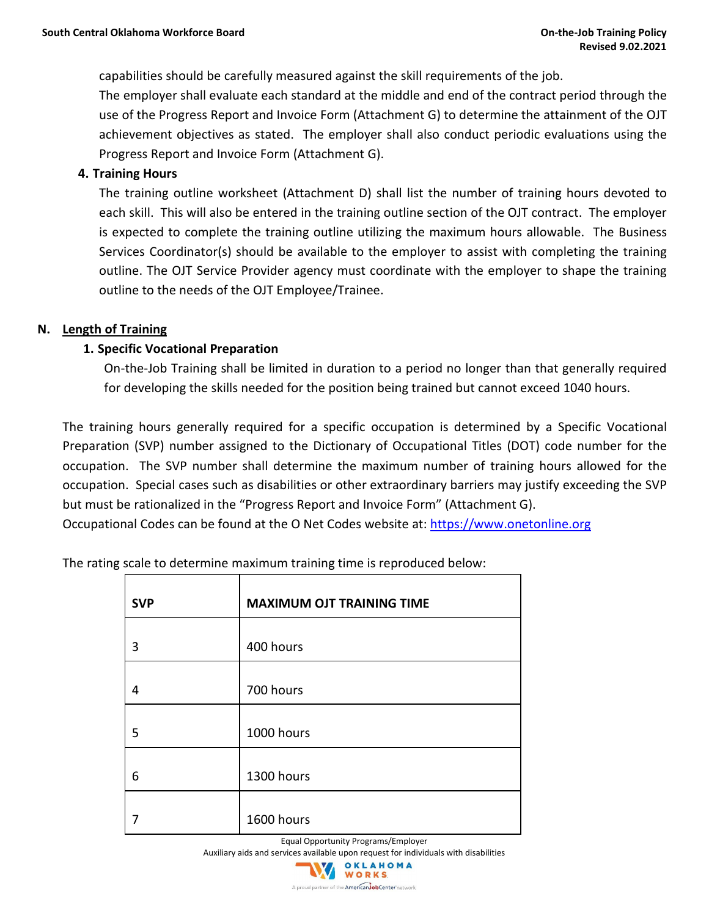capabilities should be carefully measured against the skill requirements of the job.

The employer shall evaluate each standard at the middle and end of the contract period through the use of the Progress Report and Invoice Form (Attachment G) to determine the attainment of the OJT achievement objectives as stated. The employer shall also conduct periodic evaluations using the Progress Report and Invoice Form (Attachment G).

#### **4. Training Hours**

The training outline worksheet (Attachment D) shall list the number of training hours devoted to each skill. This will also be entered in the training outline section of the OJT contract. The employer is expected to complete the training outline utilizing the maximum hours allowable. The Business Services Coordinator(s) should be available to the employer to assist with completing the training outline. The OJT Service Provider agency must coordinate with the employer to shape the training outline to the needs of the OJT Employee/Trainee.

#### **N. Length of Training**

#### **1. Specific Vocational Preparation**

On-the-Job Training shall be limited in duration to a period no longer than that generally required for developing the skills needed for the position being trained but cannot exceed 1040 hours.

The training hours generally required for a specific occupation is determined by a Specific Vocational Preparation (SVP) number assigned to the Dictionary of Occupational Titles (DOT) code number for the occupation. The SVP number shall determine the maximum number of training hours allowed for the occupation. Special cases such as disabilities or other extraordinary barriers may justify exceeding the SVP but must be rationalized in the "Progress Report and Invoice Form" (Attachment G).

Occupational Codes can be found at the O Net Codes website at: [https://www.onetonline.org](https://www.onetonline.org/)

| <b>SVP</b> | <b>MAXIMUM OJT TRAINING TIME</b> |
|------------|----------------------------------|
| 3          | 400 hours                        |
| 4          | 700 hours                        |
| 5          | 1000 hours                       |
| 6          | 1300 hours                       |
|            | 1600 hours                       |

The rating scale to determine maximum training time is reproduced below:

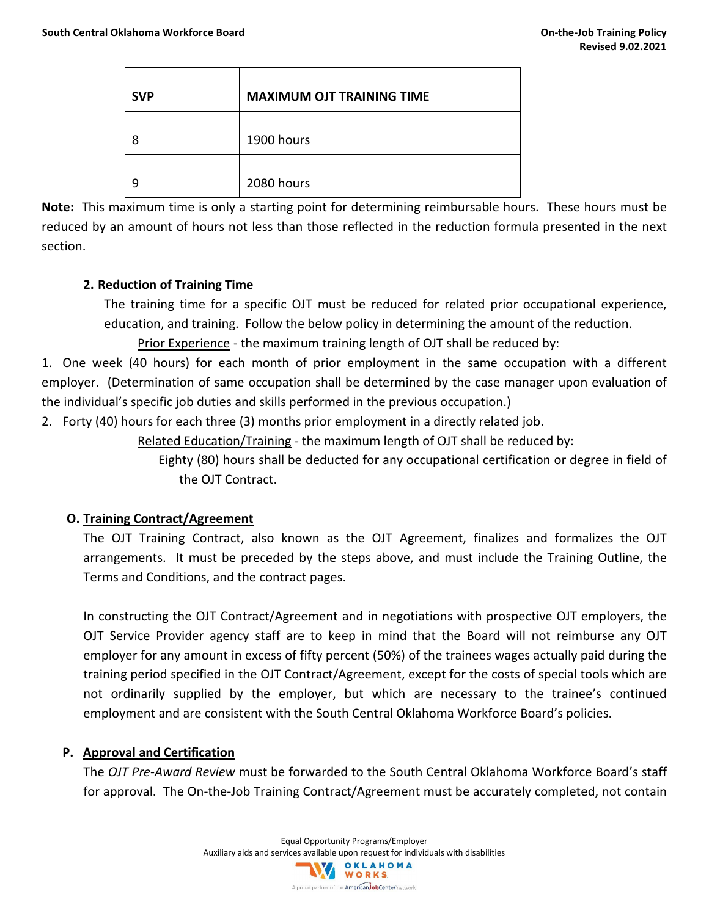| <b>SVP</b> | <b>MAXIMUM OJT TRAINING TIME</b> |
|------------|----------------------------------|
| 8          | 1900 hours                       |
|            | 2080 hours                       |

**Note:** This maximum time is only a starting point for determining reimbursable hours. These hours must be reduced by an amount of hours not less than those reflected in the reduction formula presented in the next section.

#### **2. Reduction of Training Time**

The training time for a specific OJT must be reduced for related prior occupational experience, education, and training. Follow the below policy in determining the amount of the reduction.

Prior Experience - the maximum training length of OJT shall be reduced by:

1. One week (40 hours) for each month of prior employment in the same occupation with a different employer. (Determination of same occupation shall be determined by the case manager upon evaluation of the individual's specific job duties and skills performed in the previous occupation.)

2. Forty (40) hours for each three (3) months prior employment in a directly related job.

Related Education/Training - the maximum length of OJT shall be reduced by:

Eighty (80) hours shall be deducted for any occupational certification or degree in field of the OJT Contract.

#### **O. Training Contract/Agreement**

The OJT Training Contract, also known as the OJT Agreement, finalizes and formalizes the OJT arrangements. It must be preceded by the steps above, and must include the Training Outline, the Terms and Conditions, and the contract pages.

In constructing the OJT Contract/Agreement and in negotiations with prospective OJT employers, the OJT Service Provider agency staff are to keep in mind that the Board will not reimburse any OJT employer for any amount in excess of fifty percent (50%) of the trainees wages actually paid during the training period specified in the OJT Contract/Agreement, except for the costs of special tools which are not ordinarily supplied by the employer, but which are necessary to the trainee's continued employment and are consistent with the South Central Oklahoma Workforce Board's policies.

#### **P. Approval and Certification**

The *OJT Pre-Award Review* must be forwarded to the South Central Oklahoma Workforce Board's staff for approval. The On-the-Job Training Contract/Agreement must be accurately completed, not contain

> Equal Opportunity Programs/Employer Auxiliary aids and services available upon request for individuals with disabilities<br>
> WORKS A proud partner of the AmericanJobCenter network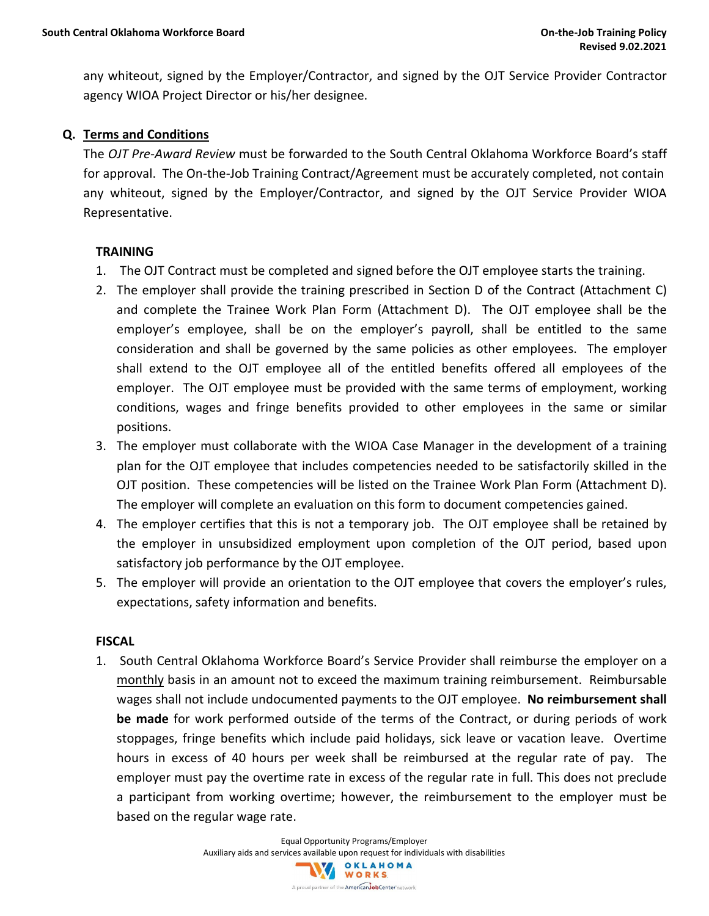any whiteout, signed by the Employer/Contractor, and signed by the OJT Service Provider Contractor agency WIOA Project Director or his/her designee.

#### **Q. Terms and Conditions**

The *OJT Pre-Award Review* must be forwarded to the South Central Oklahoma Workforce Board's staff for approval. The On-the-Job Training Contract/Agreement must be accurately completed, not contain any whiteout, signed by the Employer/Contractor, and signed by the OJT Service Provider WIOA Representative.

#### **TRAINING**

- 1. The OJT Contract must be completed and signed before the OJT employee starts the training.
- 2. The employer shall provide the training prescribed in Section D of the Contract (Attachment C) and complete the Trainee Work Plan Form (Attachment D). The OJT employee shall be the employer's employee, shall be on the employer's payroll, shall be entitled to the same consideration and shall be governed by the same policies as other employees. The employer shall extend to the OJT employee all of the entitled benefits offered all employees of the employer. The OJT employee must be provided with the same terms of employment, working conditions, wages and fringe benefits provided to other employees in the same or similar positions.
- 3. The employer must collaborate with the WIOA Case Manager in the development of a training plan for the OJT employee that includes competencies needed to be satisfactorily skilled in the OJT position. These competencies will be listed on the Trainee Work Plan Form (Attachment D). The employer will complete an evaluation on this form to document competencies gained.
- 4. The employer certifies that this is not a temporary job. The OJT employee shall be retained by the employer in unsubsidized employment upon completion of the OJT period, based upon satisfactory job performance by the OJT employee.
- 5. The employer will provide an orientation to the OJT employee that covers the employer's rules, expectations, safety information and benefits.

#### **FISCAL**

1. South Central Oklahoma Workforce Board's Service Provider shall reimburse the employer on a monthly basis in an amount not to exceed the maximum training reimbursement. Reimbursable wages shall not include undocumented payments to the OJT employee. **No reimbursement shall be made** for work performed outside of the terms of the Contract, or during periods of work stoppages, fringe benefits which include paid holidays, sick leave or vacation leave. Overtime hours in excess of 40 hours per week shall be reimbursed at the regular rate of pay. The employer must pay the overtime rate in excess of the regular rate in full. This does not preclude a participant from working overtime; however, the reimbursement to the employer must be based on the regular wage rate.

> Equal Opportunity Programs/Employer Auxiliary aids and services available upon request for individuals with disabilities<br>
> WORKS A proud partner of the American JobCenter network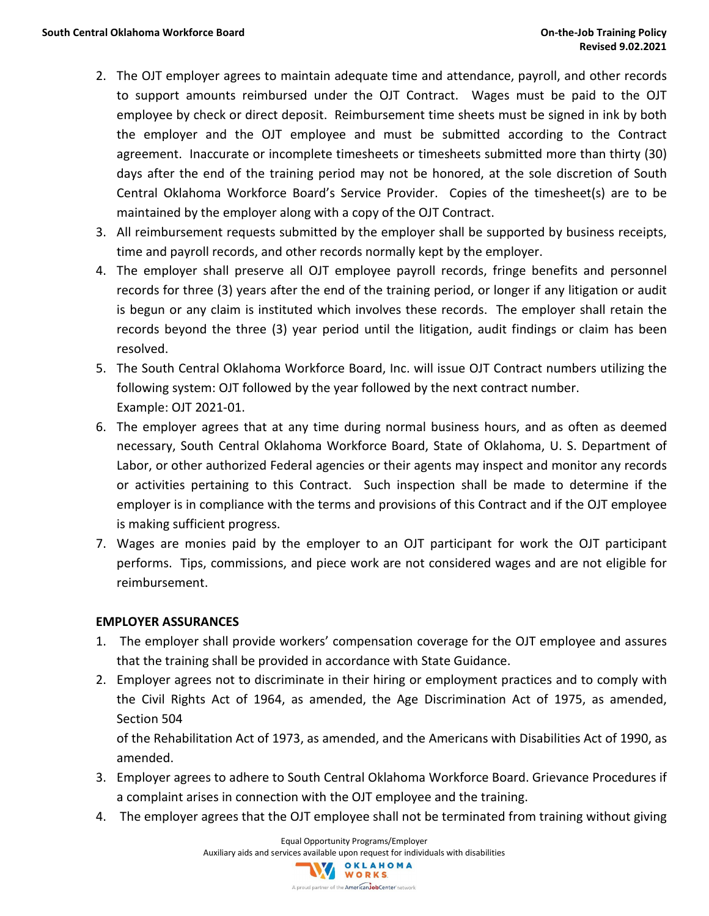- 2. The OJT employer agrees to maintain adequate time and attendance, payroll, and other records to support amounts reimbursed under the OJT Contract. Wages must be paid to the OJT employee by check or direct deposit. Reimbursement time sheets must be signed in ink by both the employer and the OJT employee and must be submitted according to the Contract agreement. Inaccurate or incomplete timesheets or timesheets submitted more than thirty (30) days after the end of the training period may not be honored, at the sole discretion of South Central Oklahoma Workforce Board's Service Provider. Copies of the timesheet(s) are to be maintained by the employer along with a copy of the OJT Contract.
- 3. All reimbursement requests submitted by the employer shall be supported by business receipts, time and payroll records, and other records normally kept by the employer.
- 4. The employer shall preserve all OJT employee payroll records, fringe benefits and personnel records for three (3) years after the end of the training period, or longer if any litigation or audit is begun or any claim is instituted which involves these records. The employer shall retain the records beyond the three (3) year period until the litigation, audit findings or claim has been resolved.
- 5. The South Central Oklahoma Workforce Board, Inc. will issue OJT Contract numbers utilizing the following system: OJT followed by the year followed by the next contract number. Example: OJT 2021-01.
- 6. The employer agrees that at any time during normal business hours, and as often as deemed necessary, South Central Oklahoma Workforce Board, State of Oklahoma, U. S. Department of Labor, or other authorized Federal agencies or their agents may inspect and monitor any records or activities pertaining to this Contract. Such inspection shall be made to determine if the employer is in compliance with the terms and provisions of this Contract and if the OJT employee is making sufficient progress.
- 7. Wages are monies paid by the employer to an OJT participant for work the OJT participant performs. Tips, commissions, and piece work are not considered wages and are not eligible for reimbursement.

#### **EMPLOYER ASSURANCES**

- 1. The employer shall provide workers' compensation coverage for the OJT employee and assures that the training shall be provided in accordance with State Guidance.
- 2. Employer agrees not to discriminate in their hiring or employment practices and to comply with the Civil Rights Act of 1964, as amended, the Age Discrimination Act of 1975, as amended, Section 504

of the Rehabilitation Act of 1973, as amended, and the Americans with Disabilities Act of 1990, as amended.

- 3. Employer agrees to adhere to South Central Oklahoma Workforce Board. Grievance Procedures if a complaint arises in connection with the OJT employee and the training.
- 4. The employer agrees that the OJT employee shall not be terminated from training without giving

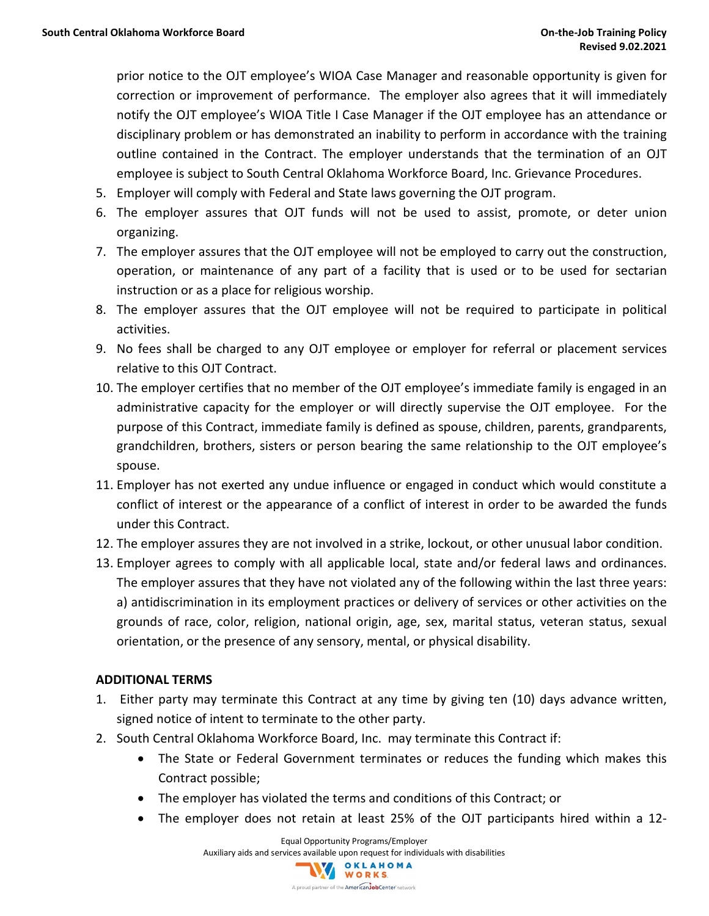prior notice to the OJT employee's WIOA Case Manager and reasonable opportunity is given for correction or improvement of performance. The employer also agrees that it will immediately notify the OJT employee's WIOA Title I Case Manager if the OJT employee has an attendance or disciplinary problem or has demonstrated an inability to perform in accordance with the training outline contained in the Contract. The employer understands that the termination of an OJT employee is subject to South Central Oklahoma Workforce Board, Inc. Grievance Procedures.

- 5. Employer will comply with Federal and State laws governing the OJT program.
- 6. The employer assures that OJT funds will not be used to assist, promote, or deter union organizing.
- 7. The employer assures that the OJT employee will not be employed to carry out the construction, operation, or maintenance of any part of a facility that is used or to be used for sectarian instruction or as a place for religious worship.
- 8. The employer assures that the OJT employee will not be required to participate in political activities.
- 9. No fees shall be charged to any OJT employee or employer for referral or placement services relative to this OJT Contract.
- 10. The employer certifies that no member of the OJT employee's immediate family is engaged in an administrative capacity for the employer or will directly supervise the OJT employee. For the purpose of this Contract, immediate family is defined as spouse, children, parents, grandparents, grandchildren, brothers, sisters or person bearing the same relationship to the OJT employee's spouse.
- 11. Employer has not exerted any undue influence or engaged in conduct which would constitute a conflict of interest or the appearance of a conflict of interest in order to be awarded the funds under this Contract.
- 12. The employer assures they are not involved in a strike, lockout, or other unusual labor condition.
- 13. Employer agrees to comply with all applicable local, state and/or federal laws and ordinances. The employer assures that they have not violated any of the following within the last three years: a) antidiscrimination in its employment practices or delivery of services or other activities on the grounds of race, color, religion, national origin, age, sex, marital status, veteran status, sexual orientation, or the presence of any sensory, mental, or physical disability.

#### **ADDITIONAL TERMS**

- 1. Either party may terminate this Contract at any time by giving ten (10) days advance written, signed notice of intent to terminate to the other party.
- 2. South Central Oklahoma Workforce Board, Inc. may terminate this Contract if:
	- The State or Federal Government terminates or reduces the funding which makes this Contract possible;
	- The employer has violated the terms and conditions of this Contract; or
	- The employer does not retain at least 25% of the OJT participants hired within a 12-

Equal Opportunity Programs/Employer

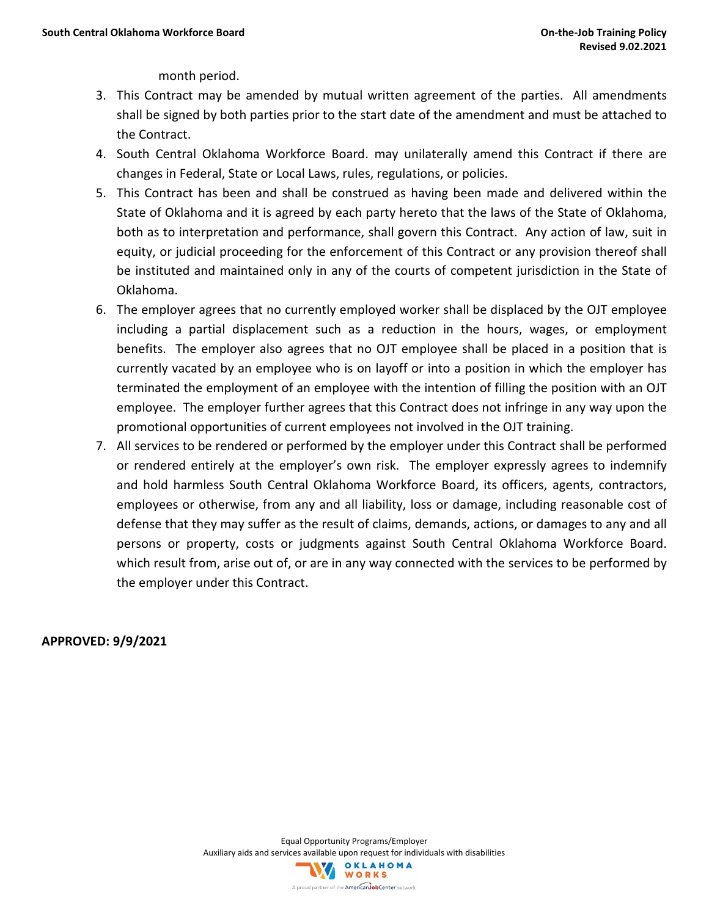month period.

- 3. This Contract may be amended by mutual written agreement of the parties. All amendments shall be signed by both parties prior to the start date of the amendment and must be attached to the Contract.
- 4. South Central Oklahoma Workforce Board. may unilaterally amend this Contract if there are changes in Federal, State or Local Laws, rules, regulations, or policies.
- 5. This Contract has been and shall be construed as having been made and delivered within the State of Oklahoma and it is agreed by each party hereto that the laws of the State of Oklahoma, both as to interpretation and performance, shall govern this Contract. Any action of law, suit in equity, or judicial proceeding for the enforcement of this Contract or any provision thereof shall be instituted and maintained only in any of the courts of competent jurisdiction in the State of Oklahoma.
- 6. The employer agrees that no currently employed worker shall be displaced by the OJT employee including a partial displacement such as a reduction in the hours, wages, or employment benefits. The employer also agrees that no OJT employee shall be placed in a position that is currently vacated by an employee who is on layoff or into a position in which the employer has terminated the employment of an employee with the intention of filling the position with an OJT employee. The employer further agrees that this Contract does not infringe in any way upon the promotional opportunities of current employees not involved in the OJT training.
- 7. All services to be rendered or performed by the employer under this Contract shall be performed or rendered entirely at the employer's own risk. The employer expressly agrees to indemnify and hold harmless South Central Oklahoma Workforce Board, its officers, agents, contractors, employees or otherwise, from any and all liability, loss or damage, including reasonable cost of defense that they may suffer as the result of claims, demands, actions, or damages to any and all persons or property, costs or judgments against South Central Oklahoma Workforce Board. which result from, arise out of, or are in any way connected with the services to be performed by the employer under this Contract.

**APPROVED: 9/9/2021**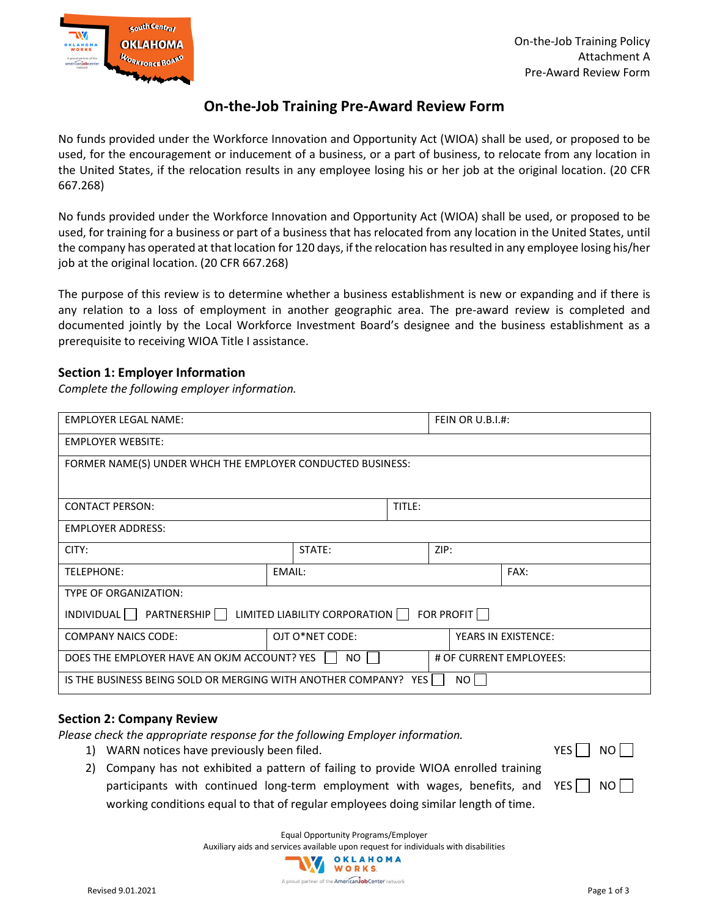

#### **On-the-Job Training Pre-Award Review Form**

No funds provided under the Workforce Innovation and Opportunity Act (WIOA) shall be used, or proposed to be used, for the encouragement or inducement of a business, or a part of business, to relocate from any location in the United States, if the relocation results in any employee losing his or her job at the original location. (20 CFR 667.268)

No funds provided under the Workforce Innovation and Opportunity Act (WIOA) shall be used, or proposed to be used, for training for a business or part of a business that has relocated from any location in the United States, until the company has operated at that location for 120 days, if the relocation has resulted in any employee losing his/her job at the original location. (20 CFR 667.268)

The purpose of this review is to determine whether a business establishment is new or expanding and if there is any relation to a loss of employment in another geographic area. The pre-award review is completed and documented jointly by the Local Workforce Investment Board's designee and the business establishment as a prerequisite to receiving WIOA Title I assistance.

#### **Section 1: Employer Information**

*Complete the following employer information.* 

| <b>EMPLOYER LEGAL NAME:</b>                                                        |                 | <b>FEIN OR U.B.I.#:</b> |  |      |                            |  |
|------------------------------------------------------------------------------------|-----------------|-------------------------|--|------|----------------------------|--|
| <b>EMPLOYER WEBSITE:</b>                                                           |                 |                         |  |      |                            |  |
| FORMER NAME(S) UNDER WHCH THE EMPLOYER CONDUCTED BUSINESS:                         |                 |                         |  |      |                            |  |
|                                                                                    |                 |                         |  |      |                            |  |
| TITLE:<br><b>CONTACT PERSON:</b>                                                   |                 |                         |  |      |                            |  |
| <b>EMPLOYER ADDRESS:</b>                                                           |                 |                         |  |      |                            |  |
| CITY:                                                                              |                 | STATE:                  |  | ZIP: |                            |  |
| TELEPHONE:                                                                         | EMAIL:          |                         |  |      | FAX:                       |  |
| <b>TYPE OF ORGANIZATION:</b>                                                       |                 |                         |  |      |                            |  |
| FOR PROFIT $\Box$<br>INDIVIDUAL PARTNERSHIP<br>LIMITED LIABILITY CORPORATION       |                 |                         |  |      |                            |  |
| <b>COMPANY NAICS CODE:</b>                                                         | OJT O*NET CODE: |                         |  |      | <b>YEARS IN EXISTENCE:</b> |  |
| DOES THE EMPLOYER HAVE AN OKIM ACCOUNT? YES    <br># OF CURRENT EMPLOYEES:<br>NO I |                 |                         |  |      |                            |  |
| IS THE BUSINESS BEING SOLD OR MERGING WITH ANOTHER COMPANY? YES<br>NO L            |                 |                         |  |      |                            |  |

#### **Section 2: Company Review**

*Please check the appropriate response for the following Employer information.* 

- 1) WARN notices have previously been filed.  $YES \cap NO$
- 
- 2) Company has not exhibited a pattern of failing to provide WIOA enrolled training participants with continued long-term employment with wages, benefits, and  $YES \bigsqcup NO$ working conditions equal to that of regular employees doing similar length of time.

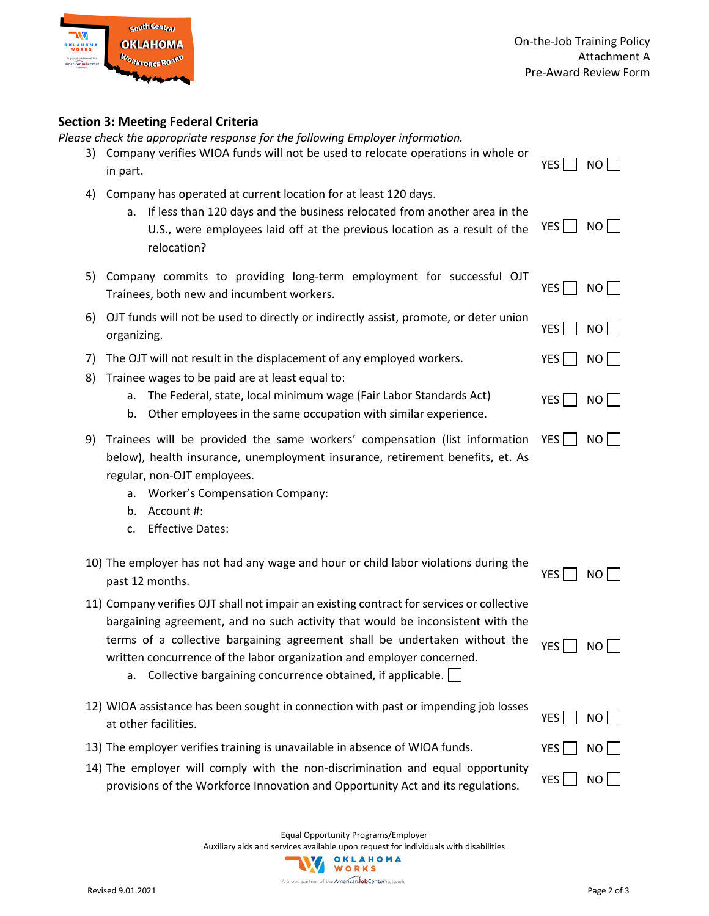

 $YES \Box NO$ 

#### **Section 3: Meeting Federal Criteria**

*Please check the appropriate response for the following Employer information.* 

| 3) Company verifies WIOA funds will not be used to relocate operations in whole or |          |  |
|------------------------------------------------------------------------------------|----------|--|
| in part.                                                                           | $YES$ NO |  |

- 4) Company has operated at current location for at least 120 days.
	- a. If less than 120 days and the business relocated from another area in the U.S., were employees laid off at the previous location as a result of the relocation? YES  $\Box$  NO  $\Box$
- 5) Company commits to providing long-term employment for successful OJT Trainees, both new and incumbent workers.
- 6) OJT funds will not be used to directly or indirectly assist, promote, or deter union organizing. NO<br>
NO

7) The OJT will not result in the displacement of any employed workers.  $YES \cap NO$ 

- 8) Trainee wages to be paid are at least equal to:
	- a. The Federal, state, local minimum wage (Fair Labor Standards Act)
	- b. Other employees in the same occupation with similar experience.
- 9) Trainees will be provided the same workers' compensation (list information  $YES \bigsqcup NO$ below), health insurance, unemployment insurance, retirement benefits, et. As regular, non-OJT employees.
	- a. Worker's Compensation Company:
	- b. Account #:
	- c. Effective Dates:

| 10) The employer has not had any wage and hour or child labor violations during the |          |  |
|-------------------------------------------------------------------------------------|----------|--|
| past 12 months.                                                                     | $YES$ NO |  |

11) Company verifies OJT shall not impair an existing contract for services or collective bargaining agreement, and no such activity that would be inconsistent with the terms of a collective bargaining agreement shall be undertaken without the written concurrence of the labor organization and employer concerned. YES  $\Box$  NO  $\Box$ 

a. Collective bargaining concurrence obtained, if applicable.  $\Box$ 

- 12) WIOA assistance has been sought in connection with past or impending job losses at other facilities.  $\overline{y}$  at other facilities.
- 13) The employer verifies training is unavailable in absence of WIOA funds.  $YES \cap NO$
- 14) The employer will comply with the non-discrimination and equal opportunity provisions of the Workforce Innovation and Opportunity Act and its regulations.  $YES \Box NO \Box$

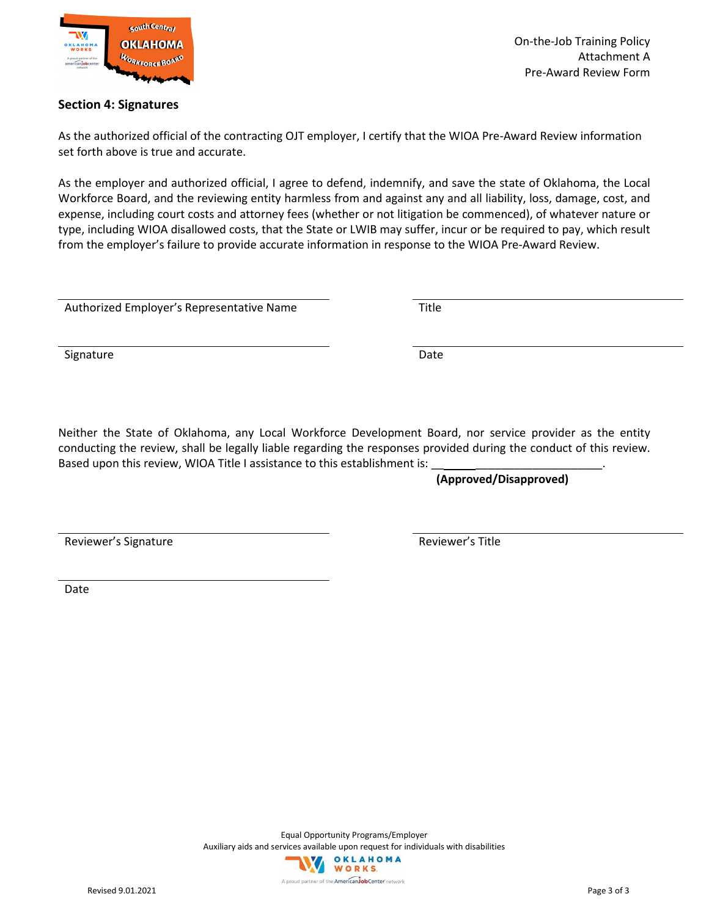

#### **Section 4: Signatures**

As the authorized official of the contracting OJT employer, I certify that the WIOA Pre-Award Review information set forth above is true and accurate.

As the employer and authorized official, I agree to defend, indemnify, and save the state of Oklahoma, the Local Workforce Board, and the reviewing entity harmless from and against any and all liability, loss, damage, cost, and expense, including court costs and attorney fees (whether or not litigation be commenced), of whatever nature or type, including WIOA disallowed costs, that the State or LWIB may suffer, incur or be required to pay, which result from the employer's failure to provide accurate information in response to the WIOA Pre-Award Review.

Authorized Employer's Representative Name Title

Signature Date

Neither the State of Oklahoma, any Local Workforce Development Board, nor service provider as the entity conducting the review, shall be legally liable regarding the responses provided during the conduct of this review. Based upon this review, WIOA Title I assistance to this establishment is:

**(Approved/Disapproved)**

Reviewer's Signature **Reviewer's Title** 

Date

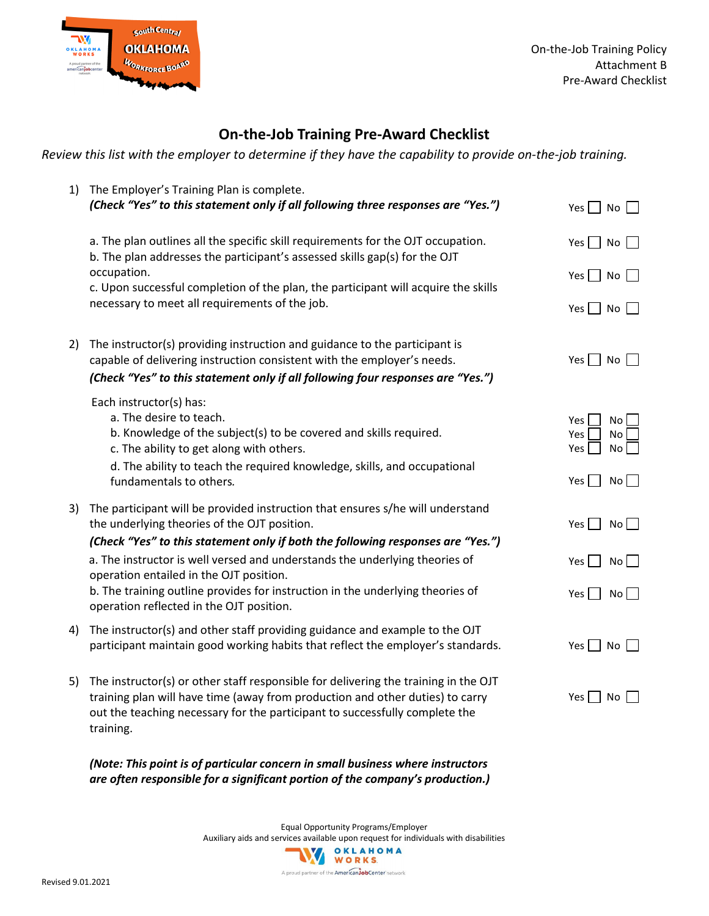

#### **On-the-Job Training Pre-Award Checklist**

*Review this list with the employer to determine if they have the capability to provide on-the-job training.* 

| 1) | The Employer's Training Plan is complete.<br>(Check "Yes" to this statement only if all following three responses are "Yes.")                                                                                                                                              | $\Box$ No<br>Yes                                                  |
|----|----------------------------------------------------------------------------------------------------------------------------------------------------------------------------------------------------------------------------------------------------------------------------|-------------------------------------------------------------------|
|    | a. The plan outlines all the specific skill requirements for the OJT occupation.<br>b. The plan addresses the participant's assessed skills gap(s) for the OJT                                                                                                             | $Yes \mid \mid No$                                                |
|    | occupation.<br>c. Upon successful completion of the plan, the participant will acquire the skills                                                                                                                                                                          | Yes  <br>No                                                       |
|    | necessary to meet all requirements of the job.                                                                                                                                                                                                                             | Yes     No                                                        |
| 2) | The instructor(s) providing instruction and guidance to the participant is<br>capable of delivering instruction consistent with the employer's needs.                                                                                                                      | Yes     No                                                        |
|    | (Check "Yes" to this statement only if all following four responses are "Yes.")                                                                                                                                                                                            |                                                                   |
|    | Each instructor(s) has:<br>a. The desire to teach.<br>b. Knowledge of the subject(s) to be covered and skills required.<br>c. The ability to get along with others.<br>d. The ability to teach the required knowledge, skills, and occupational<br>fundamentals to others. | Yes<br>No<br>Yes<br>No<br>Yes<br>No <sub>1</sub><br>Yes  <br>No l |
|    |                                                                                                                                                                                                                                                                            |                                                                   |
| 3) | The participant will be provided instruction that ensures s/he will understand<br>the underlying theories of the OJT position.                                                                                                                                             | Yes  <br>No                                                       |
|    | (Check "Yes" to this statement only if both the following responses are "Yes.")                                                                                                                                                                                            |                                                                   |
|    | a. The instructor is well versed and understands the underlying theories of<br>operation entailed in the OJT position.                                                                                                                                                     | Yes I I Nol                                                       |
|    | b. The training outline provides for instruction in the underlying theories of<br>operation reflected in the OJT position.                                                                                                                                                 | Yes $\Box$<br>No                                                  |
| 4) | The instructor(s) and other staff providing guidance and example to the OJT<br>participant maintain good working habits that reflect the employer's standards.                                                                                                             | Yes  <br>No                                                       |
| 5) | The instructor(s) or other staff responsible for delivering the training in the OJT<br>training plan will have time (away from production and other duties) to carry<br>out the teaching necessary for the participant to successfully complete the<br>training.           | Yes  <br>No                                                       |
|    |                                                                                                                                                                                                                                                                            |                                                                   |

*(Note: This point is of particular concern in small business where instructors are often responsible for a significant portion of the company's production.)*

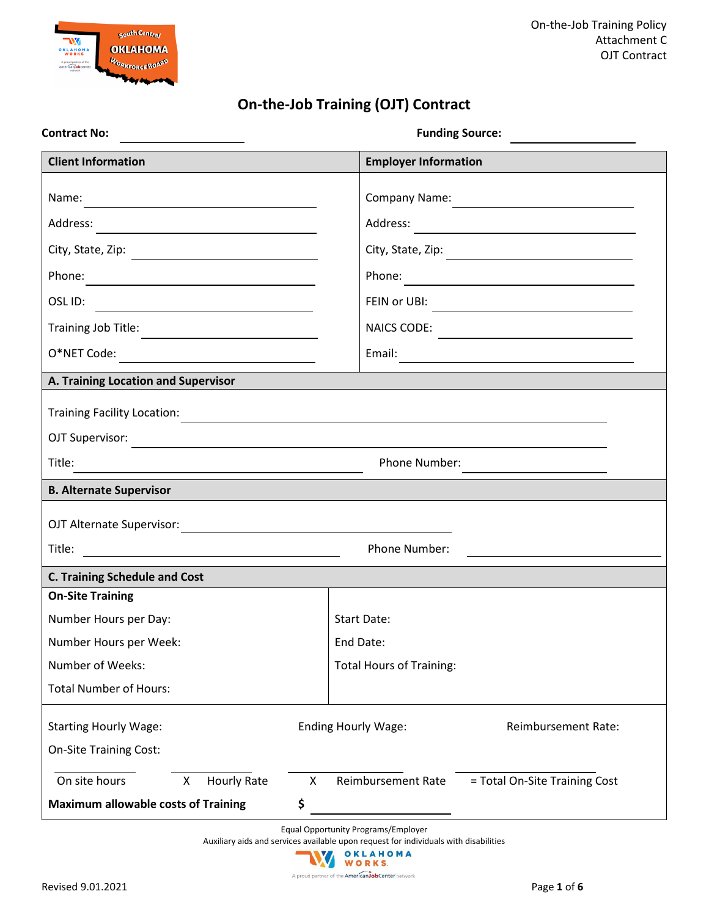

### **On-the-Job Training (OJT) Contract**

| <b>Contract No:</b>                                                                |                            |                                 | <b>Funding Source:</b>                                                                                                |
|------------------------------------------------------------------------------------|----------------------------|---------------------------------|-----------------------------------------------------------------------------------------------------------------------|
| <b>Client Information</b>                                                          |                            | <b>Employer Information</b>     |                                                                                                                       |
|                                                                                    |                            |                                 |                                                                                                                       |
|                                                                                    |                            |                                 |                                                                                                                       |
| City, State, Zip: 2008                                                             |                            |                                 |                                                                                                                       |
|                                                                                    |                            |                                 |                                                                                                                       |
|                                                                                    |                            |                                 |                                                                                                                       |
| Training Job Title:                                                                |                            | NAICS CODE:                     | <u> 1989 - Johann Stein, marwolaethau a bhann an t-Amhainn an t-Amhainn an t-Amhainn an t-Amhainn an t-Amhainn an</u> |
|                                                                                    |                            |                                 |                                                                                                                       |
| A. Training Location and Supervisor                                                |                            |                                 |                                                                                                                       |
|                                                                                    |                            |                                 |                                                                                                                       |
|                                                                                    |                            |                                 |                                                                                                                       |
| OJT Supervisor:<br>Title:<br><u> 1989 - Johann Stoff, fransk politik (d. 1989)</u> |                            |                                 |                                                                                                                       |
| <b>B. Alternate Supervisor</b>                                                     |                            |                                 |                                                                                                                       |
|                                                                                    |                            |                                 |                                                                                                                       |
|                                                                                    |                            |                                 |                                                                                                                       |
|                                                                                    |                            | Phone Number:                   |                                                                                                                       |
| <b>C. Training Schedule and Cost</b><br><b>On-Site Training</b>                    |                            |                                 |                                                                                                                       |
| Number Hours per Day:                                                              |                            | Start Date:                     |                                                                                                                       |
| Number Hours per Week:                                                             |                            | End Date:                       |                                                                                                                       |
| Number of Weeks:                                                                   |                            | <b>Total Hours of Training:</b> |                                                                                                                       |
| <b>Total Number of Hours:</b>                                                      |                            |                                 |                                                                                                                       |
| <b>Starting Hourly Wage:</b>                                                       | <b>Ending Hourly Wage:</b> |                                 | Reimbursement Rate:                                                                                                   |
| <b>On-Site Training Cost:</b>                                                      |                            |                                 |                                                                                                                       |
| <b>Hourly Rate</b><br>On site hours<br>X.                                          | X                          | Reimbursement Rate              | = Total On-Site Training Cost                                                                                         |
| <b>Maximum allowable costs of Training</b>                                         | \$                         |                                 |                                                                                                                       |

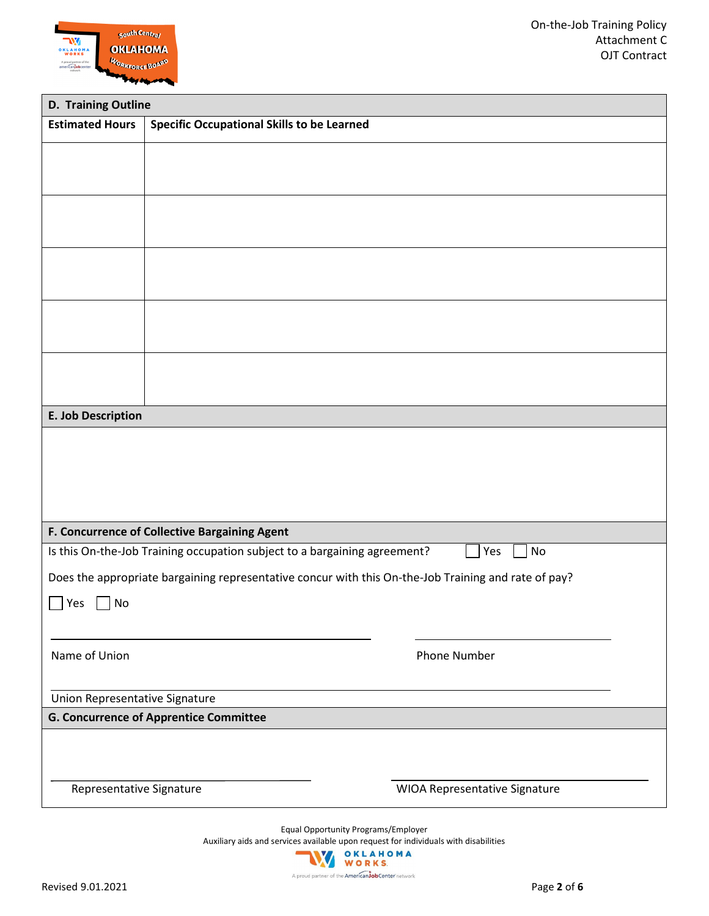

|                                | D. Training Outline                                                                                  |  |  |  |  |
|--------------------------------|------------------------------------------------------------------------------------------------------|--|--|--|--|
| <b>Estimated Hours</b>         | <b>Specific Occupational Skills to be Learned</b>                                                    |  |  |  |  |
|                                |                                                                                                      |  |  |  |  |
|                                |                                                                                                      |  |  |  |  |
|                                |                                                                                                      |  |  |  |  |
|                                |                                                                                                      |  |  |  |  |
|                                |                                                                                                      |  |  |  |  |
|                                |                                                                                                      |  |  |  |  |
|                                |                                                                                                      |  |  |  |  |
|                                |                                                                                                      |  |  |  |  |
|                                |                                                                                                      |  |  |  |  |
|                                |                                                                                                      |  |  |  |  |
| E. Job Description             |                                                                                                      |  |  |  |  |
|                                |                                                                                                      |  |  |  |  |
|                                | F. Concurrence of Collective Bargaining Agent                                                        |  |  |  |  |
|                                | Is this On-the-Job Training occupation subject to a bargaining agreement?<br>No<br>Yes               |  |  |  |  |
|                                | Does the appropriate bargaining representative concur with this On-the-Job Training and rate of pay? |  |  |  |  |
| Yes<br>No                      |                                                                                                      |  |  |  |  |
| Name of Union                  | <b>Phone Number</b>                                                                                  |  |  |  |  |
| Union Representative Signature |                                                                                                      |  |  |  |  |
|                                | <b>G. Concurrence of Apprentice Committee</b>                                                        |  |  |  |  |
|                                |                                                                                                      |  |  |  |  |
| Representative Signature       | WIOA Representative Signature                                                                        |  |  |  |  |
|                                |                                                                                                      |  |  |  |  |

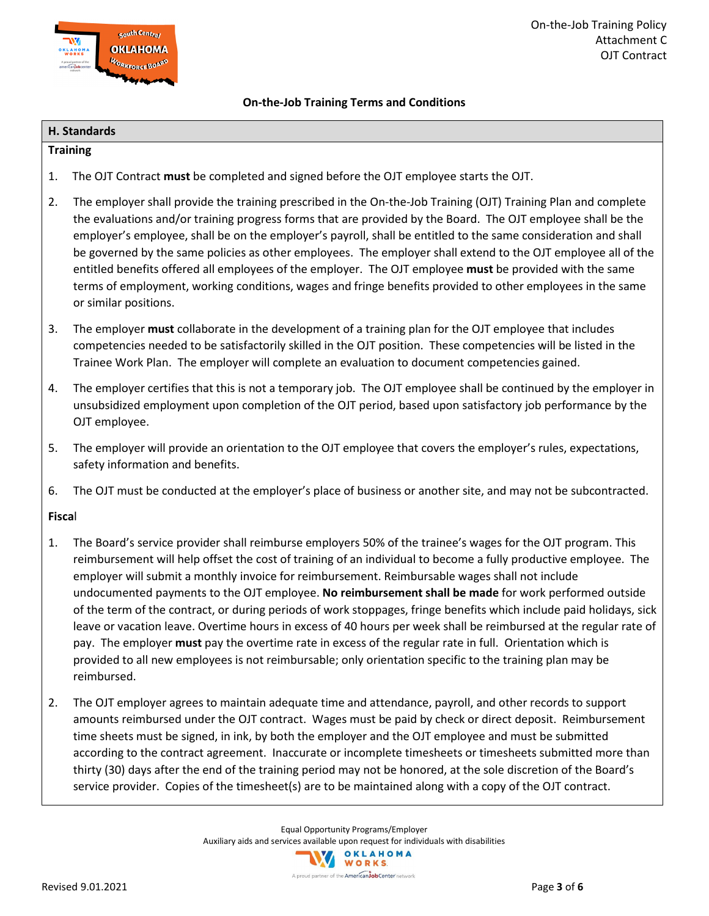

#### **On-the-Job Training Terms and Conditions**

#### **H. Standards**

#### **Training**

- 1. The OJT Contract **must** be completed and signed before the OJT employee starts the OJT.
- 2. The employer shall provide the training prescribed in the On-the-Job Training (OJT) Training Plan and complete the evaluations and/or training progress forms that are provided by the Board. The OJT employee shall be the employer's employee, shall be on the employer's payroll, shall be entitled to the same consideration and shall be governed by the same policies as other employees. The employer shall extend to the OJT employee all of the entitled benefits offered all employees of the employer. The OJT employee **must** be provided with the same terms of employment, working conditions, wages and fringe benefits provided to other employees in the same or similar positions.
- 3. The employer **must** collaborate in the development of a training plan for the OJT employee that includes competencies needed to be satisfactorily skilled in the OJT position. These competencies will be listed in the Trainee Work Plan. The employer will complete an evaluation to document competencies gained.
- 4. The employer certifies that this is not a temporary job. The OJT employee shall be continued by the employer in unsubsidized employment upon completion of the OJT period, based upon satisfactory job performance by the OJT employee.
- 5. The employer will provide an orientation to the OJT employee that covers the employer's rules, expectations, safety information and benefits.
- 6. The OJT must be conducted at the employer's place of business or another site, and may not be subcontracted.

#### **Fisca**l

- 1. The Board's service provider shall reimburse employers 50% of the trainee's wages for the OJT program. This reimbursement will help offset the cost of training of an individual to become a fully productive employee. The employer will submit a monthly invoice for reimbursement. Reimbursable wages shall not include undocumented payments to the OJT employee. **No reimbursement shall be made** for work performed outside of the term of the contract, or during periods of work stoppages, fringe benefits which include paid holidays, sick leave or vacation leave. Overtime hours in excess of 40 hours per week shall be reimbursed at the regular rate of pay. The employer **must** pay the overtime rate in excess of the regular rate in full. Orientation which is provided to all new employees is not reimbursable; only orientation specific to the training plan may be reimbursed.
- 2. The OJT employer agrees to maintain adequate time and attendance, payroll, and other records to support amounts reimbursed under the OJT contract. Wages must be paid by check or direct deposit. Reimbursement time sheets must be signed, in ink, by both the employer and the OJT employee and must be submitted according to the contract agreement. Inaccurate or incomplete timesheets or timesheets submitted more than thirty (30) days after the end of the training period may not be honored, at the sole discretion of the Board's service provider. Copies of the timesheet(s) are to be maintained along with a copy of the OJT contract.

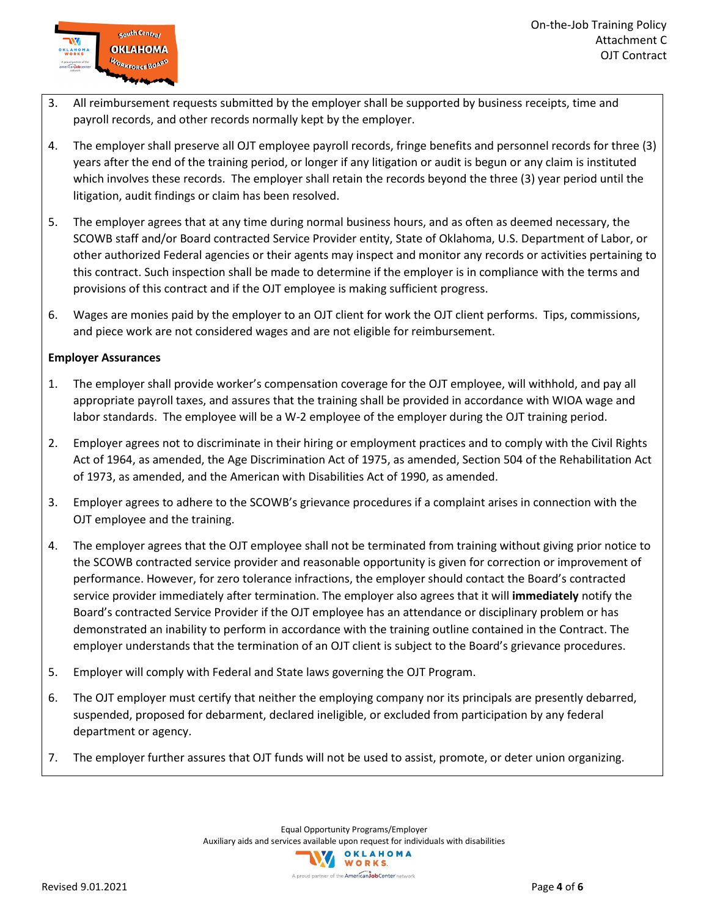

- 3. All reimbursement requests submitted by the employer shall be supported by business receipts, time and payroll records, and other records normally kept by the employer.
- 4. The employer shall preserve all OJT employee payroll records, fringe benefits and personnel records for three (3) years after the end of the training period, or longer if any litigation or audit is begun or any claim is instituted which involves these records. The employer shall retain the records beyond the three (3) year period until the litigation, audit findings or claim has been resolved.
- 5. The employer agrees that at any time during normal business hours, and as often as deemed necessary, the SCOWB staff and/or Board contracted Service Provider entity, State of Oklahoma, U.S. Department of Labor, or other authorized Federal agencies or their agents may inspect and monitor any records or activities pertaining to this contract. Such inspection shall be made to determine if the employer is in compliance with the terms and provisions of this contract and if the OJT employee is making sufficient progress.
- 6. Wages are monies paid by the employer to an OJT client for work the OJT client performs. Tips, commissions, and piece work are not considered wages and are not eligible for reimbursement.

#### **Employer Assurances**

- 1. The employer shall provide worker's compensation coverage for the OJT employee, will withhold, and pay all appropriate payroll taxes, and assures that the training shall be provided in accordance with WIOA wage and labor standards. The employee will be a W-2 employee of the employer during the OJT training period.
- 2. Employer agrees not to discriminate in their hiring or employment practices and to comply with the Civil Rights Act of 1964, as amended, the Age Discrimination Act of 1975, as amended, Section 504 of the Rehabilitation Act of 1973, as amended, and the American with Disabilities Act of 1990, as amended.
- 3. Employer agrees to adhere to the SCOWB's grievance procedures if a complaint arises in connection with the OJT employee and the training.
- 4. The employer agrees that the OJT employee shall not be terminated from training without giving prior notice to the SCOWB contracted service provider and reasonable opportunity is given for correction or improvement of performance. However, for zero tolerance infractions, the employer should contact the Board's contracted service provider immediately after termination. The employer also agrees that it will **immediately** notify the Board's contracted Service Provider if the OJT employee has an attendance or disciplinary problem or has demonstrated an inability to perform in accordance with the training outline contained in the Contract. The employer understands that the termination of an OJT client is subject to the Board's grievance procedures.
- 5. Employer will comply with Federal and State laws governing the OJT Program.
- 6. The OJT employer must certify that neither the employing company nor its principals are presently debarred, suspended, proposed for debarment, declared ineligible, or excluded from participation by any federal department or agency.
- 7. The employer further assures that OJT funds will not be used to assist, promote, or deter union organizing.

A proud partner of the **American Job Center** network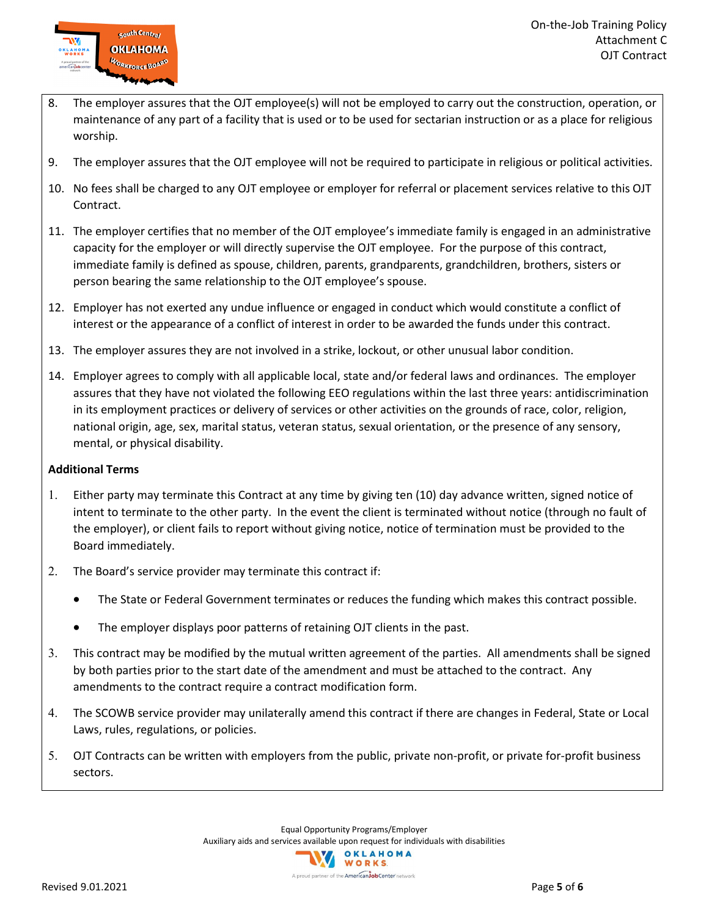

- 8. The employer assures that the OJT employee(s) will not be employed to carry out the construction, operation, or maintenance of any part of a facility that is used or to be used for sectarian instruction or as a place for religious worship.
- 9. The employer assures that the OJT employee will not be required to participate in religious or political activities.
- 10. No fees shall be charged to any OJT employee or employer for referral or placement services relative to this OJT Contract.
- 11. The employer certifies that no member of the OJT employee's immediate family is engaged in an administrative capacity for the employer or will directly supervise the OJT employee. For the purpose of this contract, immediate family is defined as spouse, children, parents, grandparents, grandchildren, brothers, sisters or person bearing the same relationship to the OJT employee's spouse.
- 12. Employer has not exerted any undue influence or engaged in conduct which would constitute a conflict of interest or the appearance of a conflict of interest in order to be awarded the funds under this contract.
- 13. The employer assures they are not involved in a strike, lockout, or other unusual labor condition.
- 14. Employer agrees to comply with all applicable local, state and/or federal laws and ordinances. The employer assures that they have not violated the following EEO regulations within the last three years: antidiscrimination in its employment practices or delivery of services or other activities on the grounds of race, color, religion, national origin, age, sex, marital status, veteran status, sexual orientation, or the presence of any sensory, mental, or physical disability.

#### **Additional Terms**

- 1. Either party may terminate this Contract at any time by giving ten (10) day advance written, signed notice of intent to terminate to the other party. In the event the client is terminated without notice (through no fault of the employer), or client fails to report without giving notice, notice of termination must be provided to the Board immediately.
- 2. The Board's service provider may terminate this contract if:
	- The State or Federal Government terminates or reduces the funding which makes this contract possible.
	- The employer displays poor patterns of retaining OJT clients in the past.
- 3. This contract may be modified by the mutual written agreement of the parties. All amendments shall be signed by both parties prior to the start date of the amendment and must be attached to the contract. Any amendments to the contract require a contract modification form.
- 4. The SCOWB service provider may unilaterally amend this contract if there are changes in Federal, State or Local Laws, rules, regulations, or policies.
- 5. OJT Contracts can be written with employers from the public, private non-profit, or private for-profit business sectors.

A proud partner of the AmericanJobCenter network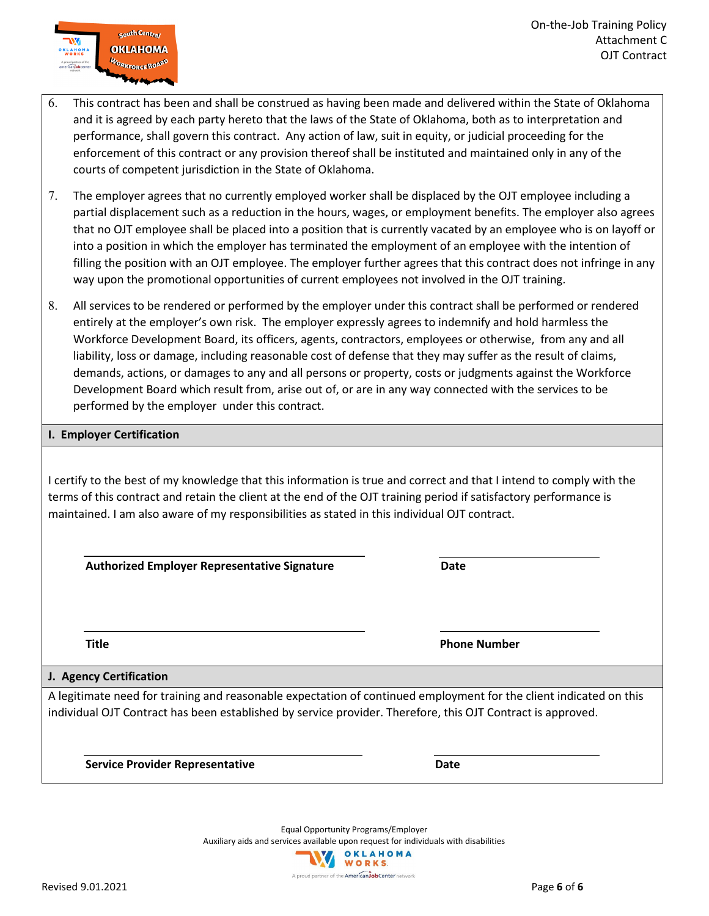| 6. | This contract has been and shall be construed as having been made and delivered within the State of Oklahoma |
|----|--------------------------------------------------------------------------------------------------------------|
|    | and it is agreed by each party hereto that the laws of the State of Oklahoma, both as to interpretation and  |
|    | performance, shall govern this contract. Any action of law, suit in equity, or judicial proceeding for the   |
|    | enforcement of this contract or any provision thereof shall be instituted and maintained only in any of the  |
|    | courts of competent jurisdiction in the State of Oklahoma.                                                   |

7. The employer agrees that no currently employed worker shall be displaced by the OJT employee including a partial displacement such as a reduction in the hours, wages, or employment benefits. The employer also agrees that no OJT employee shall be placed into a position that is currently vacated by an employee who is on layoff or into a position in which the employer has terminated the employment of an employee with the intention of filling the position with an OJT employee. The employer further agrees that this contract does not infringe in any way upon the promotional opportunities of current employees not involved in the OJT training.

8. All services to be rendered or performed by the employer under this contract shall be performed or rendered entirely at the employer's own risk. The employer expressly agrees to indemnify and hold harmless the Workforce Development Board, its officers, agents, contractors, employees or otherwise, from any and all liability, loss or damage, including reasonable cost of defense that they may suffer as the result of claims, demands, actions, or damages to any and all persons or property, costs or judgments against the Workforce Development Board which result from, arise out of, or are in any way connected with the services to be performed by the employer under this contract.

#### **I. Employer Certification**

South Central **OKLAHOMA WORKFORCE BOARD** 

I certify to the best of my knowledge that this information is true and correct and that I intend to comply with the terms of this contract and retain the client at the end of the OJT training period if satisfactory performance is maintained. I am also aware of my responsibilities as stated in this individual OJT contract.

 **Authorized Employer Representative Signature Date**

**Title Phone Number** Phone Number

**J. Agency Certification** A legitimate need for training and reasonable expectation of continued employment for the client indicated on this individual OJT Contract has been established by service provider. Therefore, this OJT Contract is approved.

**Service Provider Representative Community Control Control Cate Control Control Control Control Control Control Control Control Control Control Control Control Control Control Control Control Control Control Control Contro** 



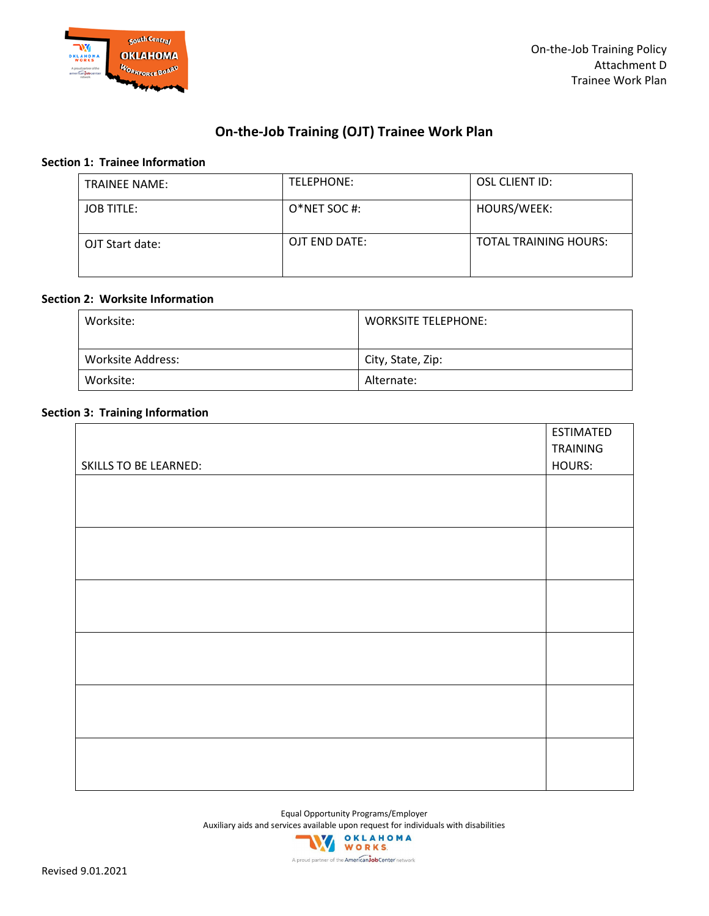

#### **On-the-Job Training (OJT) Trainee Work Plan**

#### **Section 1: Trainee Information**

| <b>TRAINEE NAME:</b> | TELEPHONE:       | OSL CLIENT ID:               |
|----------------------|------------------|------------------------------|
| <b>JOB TITLE:</b>    | $O^*$ NET SOC #: | HOURS/WEEK:                  |
| OJT Start date:      | OJT END DATE:    | <b>TOTAL TRAINING HOURS:</b> |

#### **Section 2: Worksite Information**

| Worksite:                | <b>WORKSITE TELEPHONE:</b> |
|--------------------------|----------------------------|
| <b>Worksite Address:</b> | City, State, Zip:          |
| Worksite:                | Alternate:                 |

#### **Section 3: Training Information**

| <b>SKILLS TO BE LEARNED:</b> | TRAINING<br>HOURS: |
|------------------------------|--------------------|
|                              |                    |
|                              |                    |
|                              |                    |
|                              |                    |
|                              |                    |
|                              |                    |
|                              |                    |
|                              |                    |
|                              |                    |
|                              |                    |
|                              |                    |
|                              |                    |
|                              |                    |
|                              |                    |
|                              |                    |
|                              |                    |
|                              |                    |
|                              |                    |
|                              |                    |
|                              |                    |

Equal Opportunity Programs/Employer

Auxiliary aids and services available upon request for individuals with disabilities<br>
WORKS

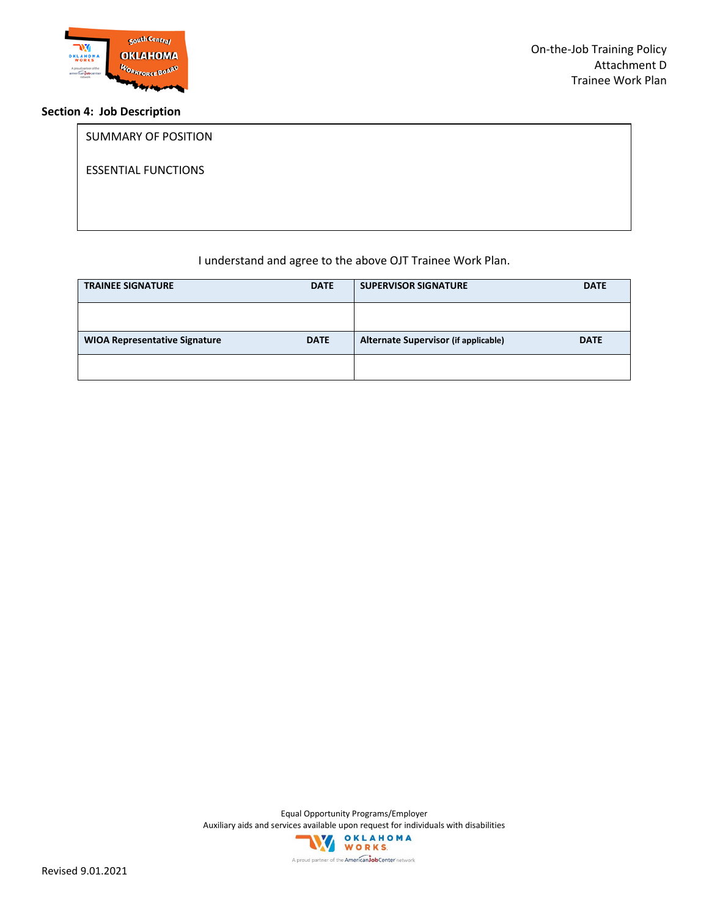

#### **Section 4: Job Description**

# SUMMARY OF POSITION ESSENTIAL FUNCTIONS

#### I understand and agree to the above OJT Trainee Work Plan.

| <b>TRAINEE SIGNATURE</b>             | <b>DATE</b> | <b>SUPERVISOR SIGNATURE</b>          | <b>DATE</b> |
|--------------------------------------|-------------|--------------------------------------|-------------|
|                                      |             |                                      |             |
| <b>WIOA Representative Signature</b> | <b>DATE</b> | Alternate Supervisor (if applicable) | <b>DATE</b> |
|                                      |             |                                      |             |

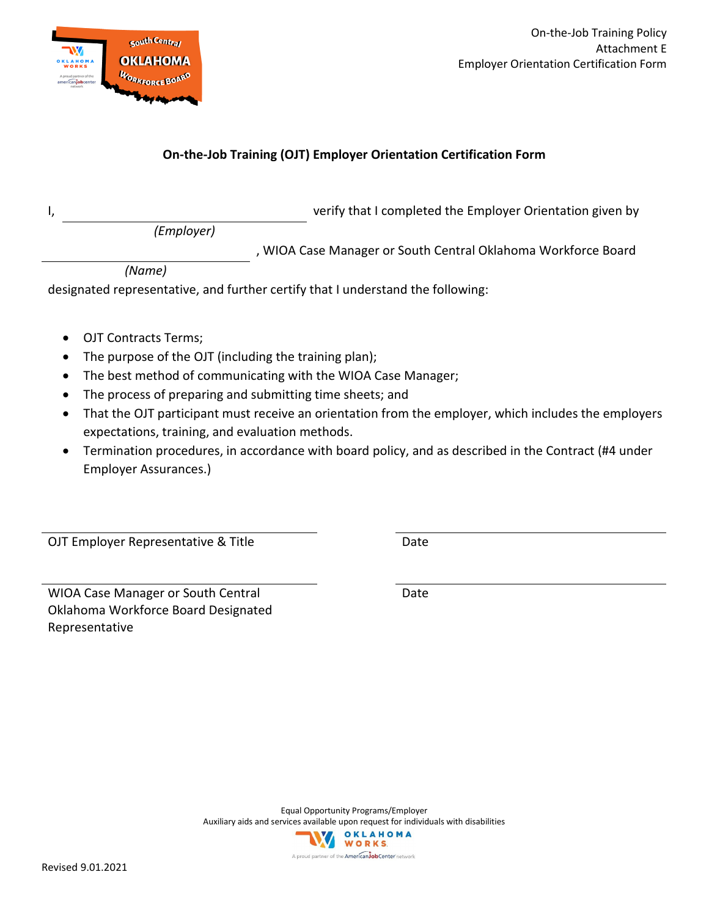

#### **On-the-Job Training (OJT) Employer Orientation Certification Form**

I, verify that I completed the Employer Orientation given by

*(Employer)*

, WIOA Case Manager or South Central Oklahoma Workforce Board

*(Name)*

designated representative, and further certify that I understand the following:

- OJT Contracts Terms;
- The purpose of the OJT (including the training plan);
- The best method of communicating with the WIOA Case Manager;
- The process of preparing and submitting time sheets; and
- That the OJT participant must receive an orientation from the employer, which includes the employers expectations, training, and evaluation methods.
- Termination procedures, in accordance with board policy, and as described in the Contract (#4 under Employer Assurances.)

OJT Employer Representative & Title **Date** Date

WIOA Case Manager or South Central Oklahoma Workforce Board Designated Representative

Date

Equal Opportunity Programs/Employer Auxiliary aids and services available upon request for individuals with disabilities OKLAHOMA WORKS.

A proud partner of the AmericanJobCenter network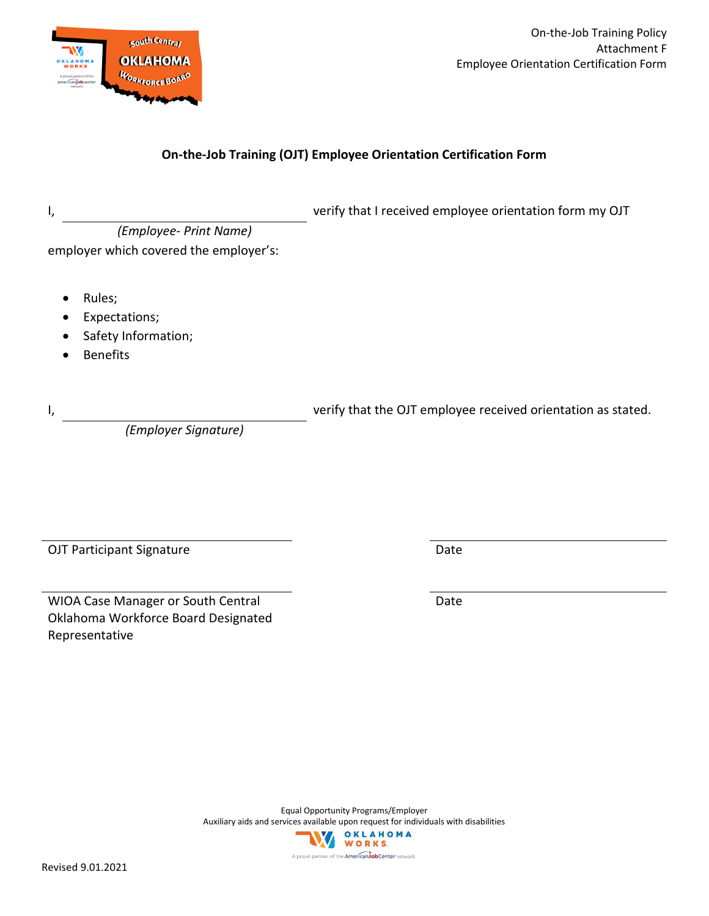

On-the-Job Training Policy Attachment F Employee Orientation Certification Form

#### **On-the-Job Training (OJT) Employee Orientation Certification Form**

| l, |                                                                   | verify that I received employee orientation form my OJT      |
|----|-------------------------------------------------------------------|--------------------------------------------------------------|
|    | (Employee- Print Name)                                            |                                                              |
|    | employer which covered the employer's:                            |                                                              |
|    | Rules;<br>Expectations;<br>Safety Information;<br><b>Benefits</b> |                                                              |
| I, | (Employer Signature)                                              | verify that the OJT employee received orientation as stated. |

OJT Participant Signature Date

WIOA Case Manager or South Central Oklahoma Workforce Board Designated Representative

Date

Equal Opportunity Programs/Employer Auxiliary aids and services available upon request for individuals with disabilities **OKLAHOMA** WORKS

A proud partner of the American JobCenter network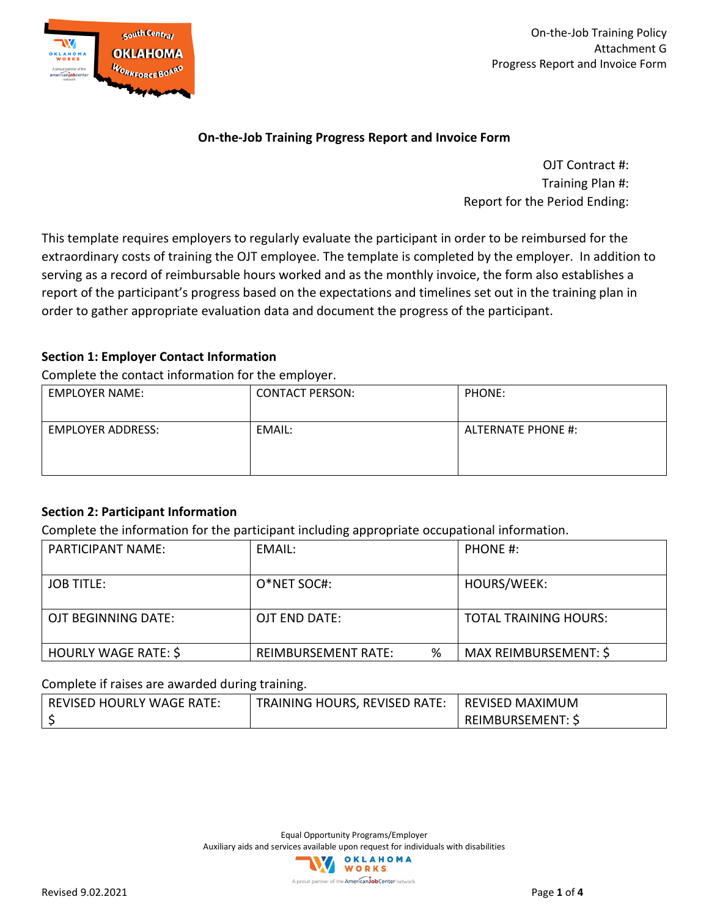

On-the-Job Training Policy Attachment G Progress Report and Invoice Form

#### **On-the-Job Training Progress Report and Invoice Form**

OJT Contract #: Training Plan #: Report for the Period Ending:

This template requires employers to regularly evaluate the participant in order to be reimbursed for the extraordinary costs of training the OJT employee. The template is completed by the employer. In addition to serving as a record of reimbursable hours worked and as the monthly invoice, the form also establishes a report of the participant's progress based on the expectations and timelines set out in the training plan in order to gather appropriate evaluation data and document the progress of the participant.

#### **Section 1: Employer Contact Information**

Complete the contact information for the employer.

| <b>EMPLOYER NAME:</b>    | <b>CONTACT PERSON:</b> | PHONE:             |
|--------------------------|------------------------|--------------------|
| <b>EMPLOYER ADDRESS:</b> | EMAIL:                 | ALTERNATE PHONE #: |

#### **Section 2: Participant Information**

Complete the information for the participant including appropriate occupational information.

| <b>PARTICIPANT NAME:</b> | EMAIL:                   | PHONE #:                     |
|--------------------------|--------------------------|------------------------------|
| <b>JOB TITLE:</b>        | O*NET SOC#:              | HOURS/WEEK:                  |
| OJT BEGINNING DATE:      | OJT END DATE:            | <b>TOTAL TRAINING HOURS:</b> |
| HOURLY WAGE RATE: \$     | %<br>REIMBURSEMENT RATE: | MAX REIMBURSEMENT: \$        |

#### Complete if raises are awarded during training.

| REVISED HOURLY WAGE RATE: | <b>TRAINING HOURS, REVISED RATE:</b> | <b>REVISED MAXIMUM</b>   |
|---------------------------|--------------------------------------|--------------------------|
|                           |                                      | <b>IREIMBURSEMENT: 5</b> |

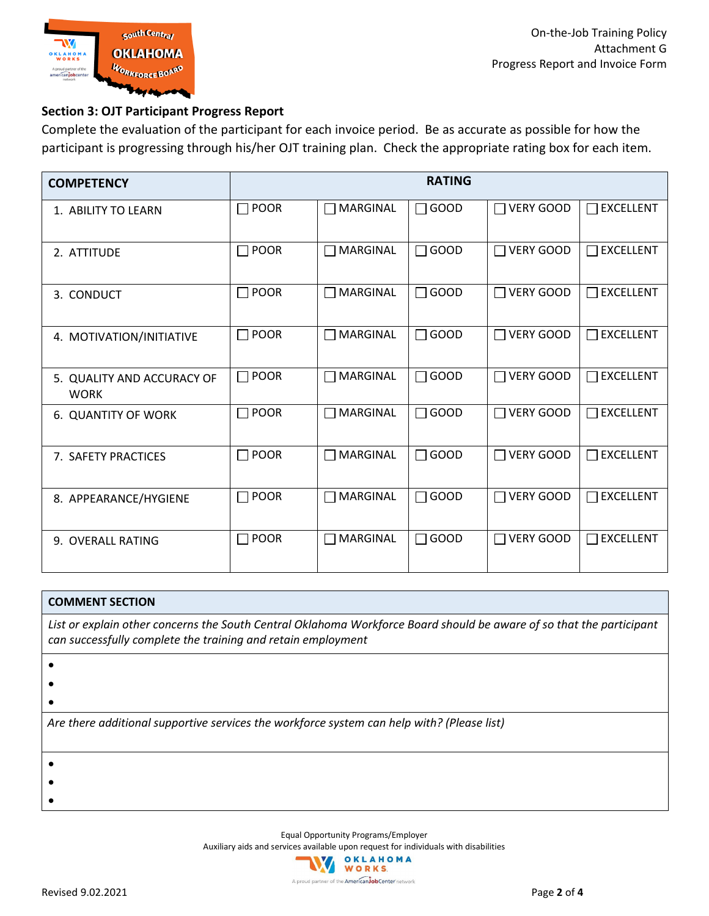

#### **Section 3: OJT Participant Progress Report**

Complete the evaluation of the participant for each invoice period. Be as accurate as possible for how the participant is progressing through his/her OJT training plan. Check the appropriate rating box for each item.

| <b>COMPETENCY</b>                         | <b>RATING</b>        |                 |             |                            |                            |  |  |  |  |
|-------------------------------------------|----------------------|-----------------|-------------|----------------------------|----------------------------|--|--|--|--|
| 1. ABILITY TO LEARN                       | $\Box$ POOR          | $\Box$ MARGINAL | $\Box$ GOOD | $\Box$ VERY GOOD           | $\Box$ EXCELLENT           |  |  |  |  |
| 2. ATTITUDE                               | $\Box$ POOR          | $\Box$ MARGINAL | $\Box$ GOOD | $\Box$ VERY GOOD           | $\Box$ EXCELLENT           |  |  |  |  |
| 3. CONDUCT                                | $\Box$ POOR          | $\Box$ MARGINAL | $\Box$ GOOD | <b>VERY GOOD</b><br>$\Box$ | $\Box$ EXCELLENT           |  |  |  |  |
| 4. MOTIVATION/INITIATIVE                  | POOR<br>$\mathbf{I}$ | $\Box$ MARGINAL | $\Box$ GOOD | <b>VERY GOOD</b>           | <b>EXCELLENT</b><br>$\Box$ |  |  |  |  |
| 5. QUALITY AND ACCURACY OF<br><b>WORK</b> | $\Box$ POOR          | $\Box$ MARGINAL | $\Box$ GOOD | <b>VERY GOOD</b>           | $\Box$ EXCELLENT           |  |  |  |  |
| 6. QUANTITY OF WORK                       | $\Box$ POOR          | $\Box$ MARGINAL | $\Box$ GOOD | <b>VERY GOOD</b><br>$\Box$ | $\Box$ EXCELLENT           |  |  |  |  |
| 7. SAFETY PRACTICES                       | $\Box$ POOR          | $\Box$ MARGINAL | $\Box$ GOOD | <b>VERY GOOD</b><br>$\Box$ | $\Box$ EXCELLENT           |  |  |  |  |
| 8. APPEARANCE/HYGIENE                     | $\Box$ POOR          | $\Box$ MARGINAL | $\Box$ GOOD | <b>VERY GOOD</b>           | <b>EXCELLENT</b><br>П      |  |  |  |  |
| 9. OVERALL RATING                         | $\Box$ POOR          | $\Box$ MARGINAL | $\Box$ GOOD | <b>VERY GOOD</b>           | $\Box$ EXCELLENT           |  |  |  |  |

#### **COMMENT SECTION**

*List or explain other concerns the South Central Oklahoma Workforce Board should be aware of so that the participant can successfully complete the training and retain employment*

- •
- 
- •
- •

*Are there additional supportive services the workforce system can help with? (Please list)*

- •
- •
- •

Equal Opportunity Programs/Employer

Auxiliary aids and services available upon request for individuals with disabilities

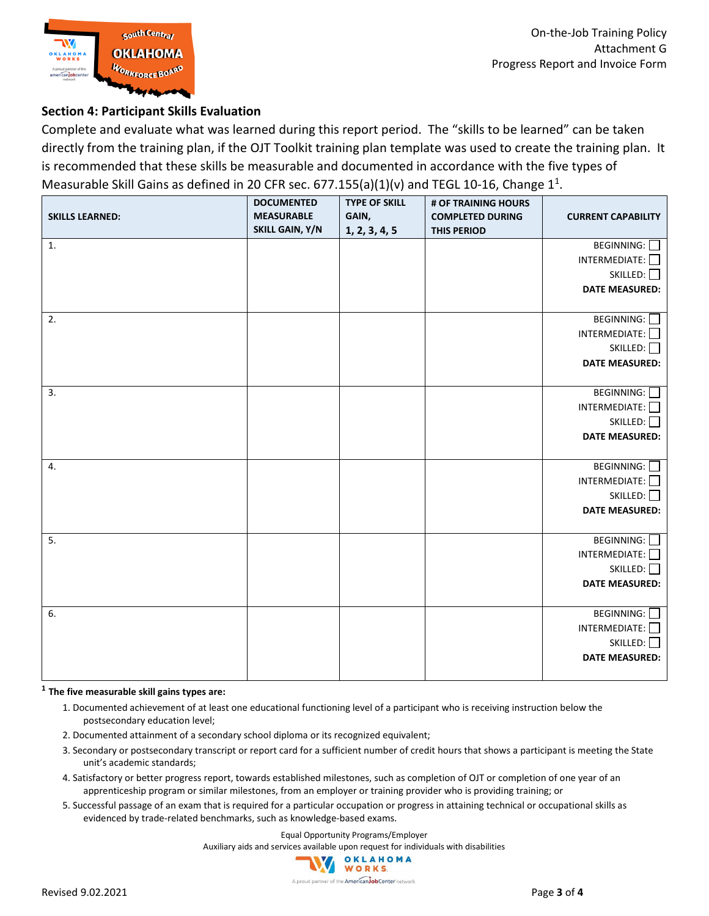

#### **Section 4: Participant Skills Evaluation**

Complete and evaluate what was learned during this report period. The "skills to be learned" can be taken directly from the training plan, if the OJT Toolkit training plan template was used to create the training plan. It is recommended that these skills be measurable and documented in accordance with the five types of Measurable Skill Gains as defined in 20 CFR sec.  $677.155(a)(1)(v)$  and TEGL 10-16, Change  $1<sup>1</sup>$ .

| <b>SKILLS LEARNED:</b> | <b>DOCUMENTED</b><br><b>MEASURABLE</b><br>SKILL GAIN, Y/N | .<br><b>TYPE OF SKILL</b><br>GAIN,<br>1, 2, 3, 4, 5 | # OF TRAINING HOURS<br><b>COMPLETED DURING</b><br><b>THIS PERIOD</b> | <b>CURRENT CAPABILITY</b>                                                          |
|------------------------|-----------------------------------------------------------|-----------------------------------------------------|----------------------------------------------------------------------|------------------------------------------------------------------------------------|
| 1.                     |                                                           |                                                     |                                                                      | BEGINNING:<br>INTERMEDIATE:<br>SKILLED:<br><b>DATE MEASURED:</b>                   |
| 2.                     |                                                           |                                                     |                                                                      | BEGINNING: O<br>$INTERMEDIATE: \Box$<br>SKILLED:<br><b>DATE MEASURED:</b>          |
| 3.                     |                                                           |                                                     |                                                                      | BEGINNING: O<br>INTERMEDIATE:<br>SKILLED:<br><b>DATE MEASURED:</b>                 |
| 4.                     |                                                           |                                                     |                                                                      | BEGINNING:<br>INTERMEDIATE:<br>SKILLED:<br><b>DATE MEASURED:</b>                   |
| 5.                     |                                                           |                                                     |                                                                      | BEGINNING: O<br>$INTERMEDIATE: \BoxSKILLED:DATE MEASURED:$                         |
| 6.                     |                                                           |                                                     |                                                                      | <b>BEGINNING:</b> □<br>$INTERMEDIATE: \Box$<br>SKILLED: 0<br><b>DATE MEASURED:</b> |

#### **<sup>1</sup> The five measurable skill gains types are:**

- 1. Documented achievement of at least one educational functioning level of a participant who is receiving instruction below the postsecondary education level;
- 2. Documented attainment of a secondary school diploma or its recognized equivalent;
- 3. Secondary or postsecondary transcript or report card for a sufficient number of credit hours that shows a participant is meeting the State unit's academic standards;
- 4. Satisfactory or better progress report, towards established milestones, such as completion of OJT or completion of one year of an apprenticeship program or similar milestones, from an employer or training provider who is providing training; or
- 5. Successful passage of an exam that is required for a particular occupation or progress in attaining technical or occupational skills as evidenced by trade-related benchmarks, such as knowledge-based exams.

Equal Opportunity Programs/Employer

Auxiliary aids and services available upon request for individuals with disabilities

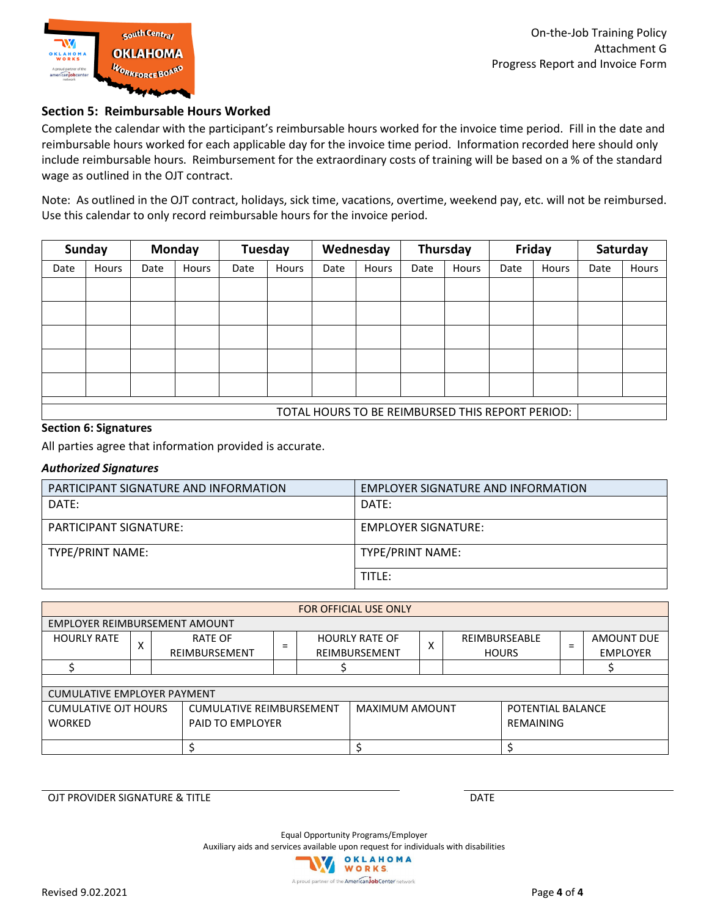

#### **Section 5: Reimbursable Hours Worked**

Complete the calendar with the participant's reimbursable hours worked for the invoice time period. Fill in the date and reimbursable hours worked for each applicable day for the invoice time period. Information recorded here should only include reimbursable hours. Reimbursement for the extraordinary costs of training will be based on a % of the standard wage as outlined in the OJT contract.

Note: As outlined in the OJT contract, holidays, sick time, vacations, overtime, weekend pay, etc. will not be reimbursed. Use this calendar to only record reimbursable hours for the invoice period.

| <b>Sunday</b>                                    |       |      | <b>Monday</b> |      | Tuesday |      | Wednesday |      | Thursday |      | Friday | Saturday |       |
|--------------------------------------------------|-------|------|---------------|------|---------|------|-----------|------|----------|------|--------|----------|-------|
| Date                                             | Hours | Date | Hours         | Date | Hours   | Date | Hours     | Date | Hours    | Date | Hours  | Date     | Hours |
|                                                  |       |      |               |      |         |      |           |      |          |      |        |          |       |
|                                                  |       |      |               |      |         |      |           |      |          |      |        |          |       |
|                                                  |       |      |               |      |         |      |           |      |          |      |        |          |       |
|                                                  |       |      |               |      |         |      |           |      |          |      |        |          |       |
|                                                  |       |      |               |      |         |      |           |      |          |      |        |          |       |
| TOTAL HOURS TO BE REIMBURSED THIS REPORT PERIOD: |       |      |               |      |         |      |           |      |          |      |        |          |       |

#### **Section 6: Signatures**

All parties agree that information provided is accurate.

#### *Authorized Signatures*

| PARTICIPANT SIGNATURE AND INFORMATION | EMPLOYER SIGNATURE AND INFORMATION |
|---------------------------------------|------------------------------------|
| DATE:                                 | DATE:                              |
| PARTICIPANT SIGNATURE:                | EMPLOYER SIGNATURE:                |
| TYPE/PRINT NAME:                      | TYPE/PRINT NAME:                   |
|                                       | TITLE:                             |

| <b>FOR OFFICIAL USE ONLY</b>             |   |               |                                 |  |                       |              |                   |  |                 |
|------------------------------------------|---|---------------|---------------------------------|--|-----------------------|--------------|-------------------|--|-----------------|
| EMPLOYER REIMBURSEMENT AMOUNT            |   |               |                                 |  |                       |              |                   |  |                 |
| <b>HOURLY RATE</b>                       |   | RATE OF       | $=$                             |  | <b>HOURLY RATE OF</b> | $\checkmark$ | REIMBURSEABLE     |  | AMOUNT DUE      |
|                                          | л | REIMBURSEMENT |                                 |  | REIMBURSEMENT         | л            | <b>HOURS</b>      |  | <b>EMPLOYER</b> |
|                                          |   |               |                                 |  |                       |              |                   |  |                 |
|                                          |   |               |                                 |  |                       |              |                   |  |                 |
| <b>CUMULATIVE EMPLOYER PAYMENT</b>       |   |               |                                 |  |                       |              |                   |  |                 |
| <b>CUMULATIVE OJT HOURS</b>              |   |               | <b>CUMULATIVE REIMBURSEMENT</b> |  | <b>MAXIMUM AMOUNT</b> |              | POTENTIAL BALANCE |  |                 |
| <b>WORKED</b><br><b>PAID TO EMPLOYER</b> |   |               |                                 |  | <b>REMAINING</b>      |              |                   |  |                 |
|                                          |   |               |                                 |  |                       |              |                   |  |                 |
|                                          |   |               |                                 |  |                       |              |                   |  |                 |

OJT PROVIDER SIGNATURE & TITLE **EXECUTE A SIGNATURE ASSAULT A** CONTROVIDER SIGNATURE & TITLE